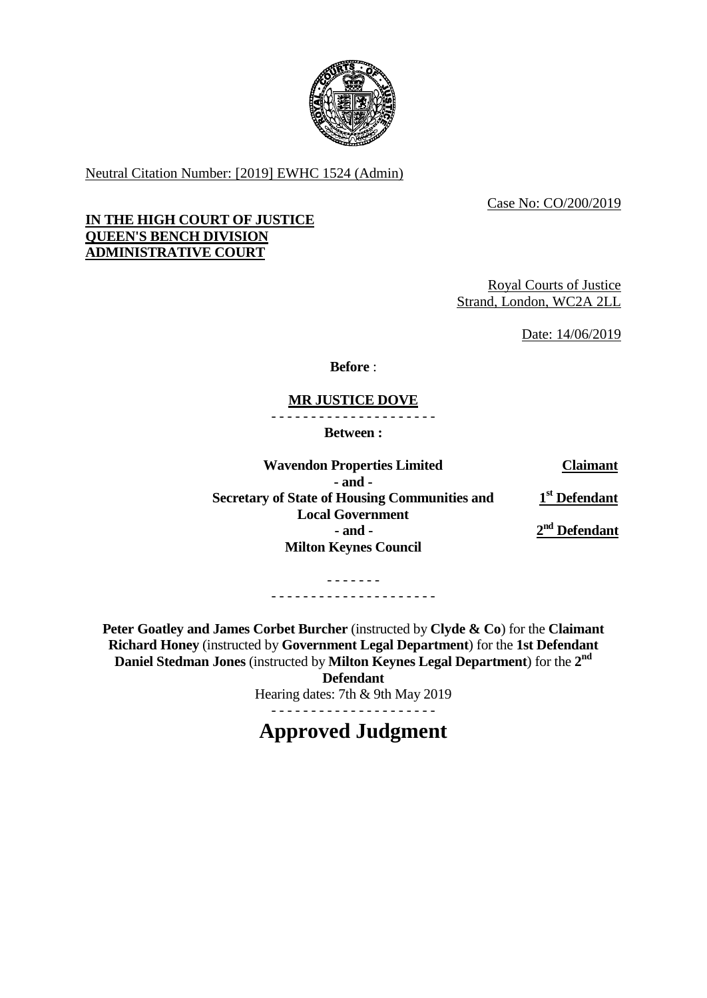

Neutral Citation Number: [2019] EWHC 1524 (Admin)

Case No: CO/200/2019

## **IN THE HIGH COURT OF JUSTICE QUEEN'S BENCH DIVISION ADMINISTRATIVE COURT**

Royal Courts of Justice Strand, London, WC2A 2LL

Date: 14/06/2019

**Before** :

## **MR JUSTICE DOVE**

- - - - - - - - - - - - - - - - - - - - -

**Between :**

**Wavendon Properties Limited Claimant - and - Secretary of State of Housing Communities and Local Government 1 st Defendant - and - 2 nd Defendant Milton Keynes Council**

> - - - - - - - - - - - - - - - - - - - - - - - - - - - -

**Peter Goatley and James Corbet Burcher** (instructed by **Clyde & Co**) for the **Claimant Richard Honey** (instructed by **Government Legal Department**) for the **1st Defendant Daniel Stedman Jones** (instructed by **Milton Keynes Legal Department**) for the **2 nd**

**Defendant**

Hearing dates: 7th & 9th May 2019

**Approved Judgment**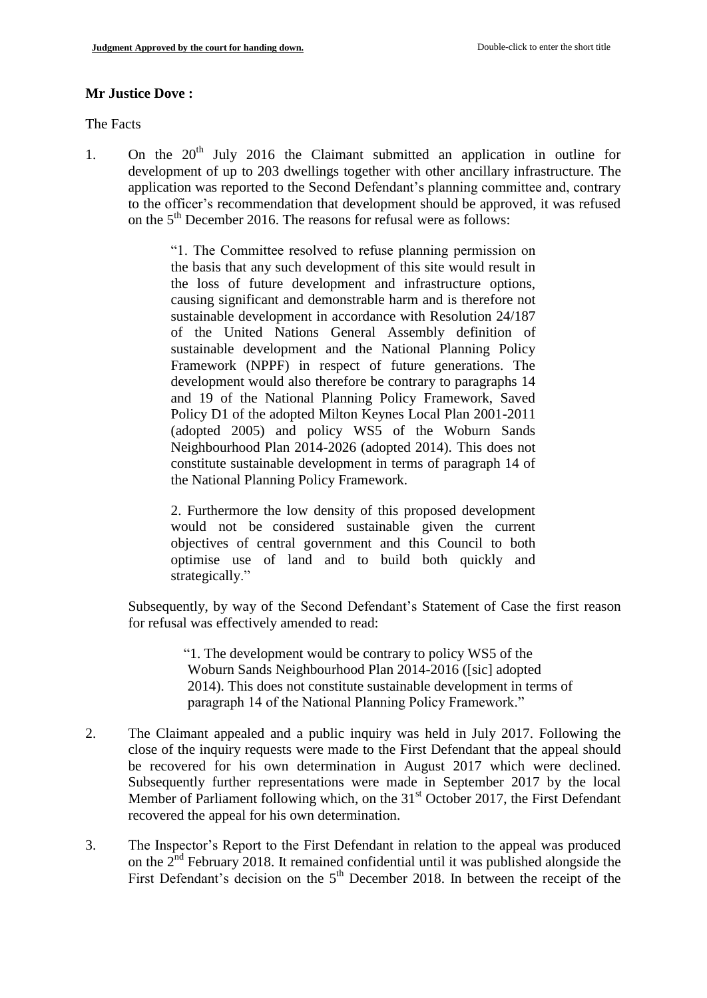### **Mr Justice Dove :**

The Facts

1. On the  $20<sup>th</sup>$  July 2016 the Claimant submitted an application in outline for development of up to 203 dwellings together with other ancillary infrastructure. The application was reported to the Second Defendant's planning committee and, contrary to the officer's recommendation that development should be approved, it was refused on the 5<sup>th</sup> December 2016. The reasons for refusal were as follows:

> "1. The Committee resolved to refuse planning permission on the basis that any such development of this site would result in the loss of future development and infrastructure options, causing significant and demonstrable harm and is therefore not sustainable development in accordance with Resolution 24/187 of the United Nations General Assembly definition of sustainable development and the National Planning Policy Framework (NPPF) in respect of future generations. The development would also therefore be contrary to paragraphs 14 and 19 of the National Planning Policy Framework, Saved Policy D1 of the adopted Milton Keynes Local Plan 2001-2011 (adopted 2005) and policy WS5 of the Woburn Sands Neighbourhood Plan 2014-2026 (adopted 2014). This does not constitute sustainable development in terms of paragraph 14 of the National Planning Policy Framework.

> 2. Furthermore the low density of this proposed development would not be considered sustainable given the current objectives of central government and this Council to both optimise use of land and to build both quickly and strategically."

Subsequently, by way of the Second Defendant's Statement of Case the first reason for refusal was effectively amended to read:

> "1. The development would be contrary to policy WS5 of the Woburn Sands Neighbourhood Plan 2014-2016 ([sic] adopted 2014). This does not constitute sustainable development in terms of paragraph 14 of the National Planning Policy Framework."

- 2. The Claimant appealed and a public inquiry was held in July 2017. Following the close of the inquiry requests were made to the First Defendant that the appeal should be recovered for his own determination in August 2017 which were declined. Subsequently further representations were made in September 2017 by the local Member of Parliament following which, on the  $31<sup>st</sup>$  October 2017, the First Defendant recovered the appeal for his own determination.
- 3. The Inspector's Report to the First Defendant in relation to the appeal was produced on the 2<sup>nd</sup> February 2018. It remained confidential until it was published alongside the First Defendant's decision on the  $5<sup>th</sup>$  December 2018. In between the receipt of the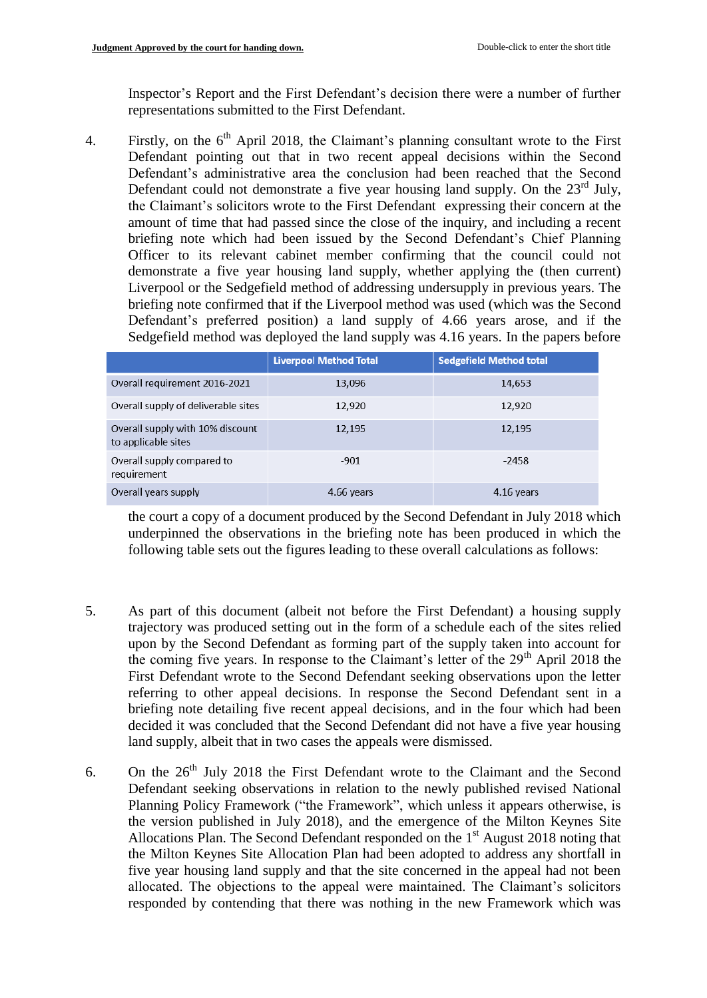Inspector's Report and the First Defendant's decision there were a number of further representations submitted to the First Defendant.

4. Firstly, on the  $6<sup>th</sup>$  April 2018, the Claimant's planning consultant wrote to the First Defendant pointing out that in two recent appeal decisions within the Second Defendant's administrative area the conclusion had been reached that the Second Defendant could not demonstrate a five year housing land supply. On the  $23<sup>rd</sup>$  July, the Claimant's solicitors wrote to the First Defendant expressing their concern at the amount of time that had passed since the close of the inquiry, and including a recent briefing note which had been issued by the Second Defendant's Chief Planning Officer to its relevant cabinet member confirming that the council could not demonstrate a five year housing land supply, whether applying the (then current) Liverpool or the Sedgefield method of addressing undersupply in previous years. The briefing note confirmed that if the Liverpool method was used (which was the Second Defendant's preferred position) a land supply of 4.66 years arose, and if the Sedgefield method was deployed the land supply was 4.16 years. In the papers before

|                                                         | <b>Liverpool Method Total</b> | <b>Sedgefield Method total</b> |
|---------------------------------------------------------|-------------------------------|--------------------------------|
| Overall requirement 2016-2021                           | 13,096                        | 14,653                         |
| Overall supply of deliverable sites                     | 12,920                        | 12,920                         |
| Overall supply with 10% discount<br>to applicable sites | 12,195                        | 12,195                         |
| Overall supply compared to<br>requirement               | $-901$                        | $-2458$                        |
| Overall years supply                                    | 4.66 years                    | 4.16 years                     |

the court a copy of a document produced by the Second Defendant in July 2018 which underpinned the observations in the briefing note has been produced in which the following table sets out the figures leading to these overall calculations as follows:

- 5. As part of this document (albeit not before the First Defendant) a housing supply trajectory was produced setting out in the form of a schedule each of the sites relied upon by the Second Defendant as forming part of the supply taken into account for the coming five years. In response to the Claimant's letter of the 29<sup>th</sup> April 2018 the First Defendant wrote to the Second Defendant seeking observations upon the letter referring to other appeal decisions. In response the Second Defendant sent in a briefing note detailing five recent appeal decisions, and in the four which had been decided it was concluded that the Second Defendant did not have a five year housing land supply, albeit that in two cases the appeals were dismissed.
- 6. On the  $26<sup>th</sup>$  July 2018 the First Defendant wrote to the Claimant and the Second Defendant seeking observations in relation to the newly published revised National Planning Policy Framework ("the Framework", which unless it appears otherwise, is the version published in July 2018), and the emergence of the Milton Keynes Site Allocations Plan. The Second Defendant responded on the  $1<sup>st</sup>$  August 2018 noting that the Milton Keynes Site Allocation Plan had been adopted to address any shortfall in five year housing land supply and that the site concerned in the appeal had not been allocated. The objections to the appeal were maintained. The Claimant's solicitors responded by contending that there was nothing in the new Framework which was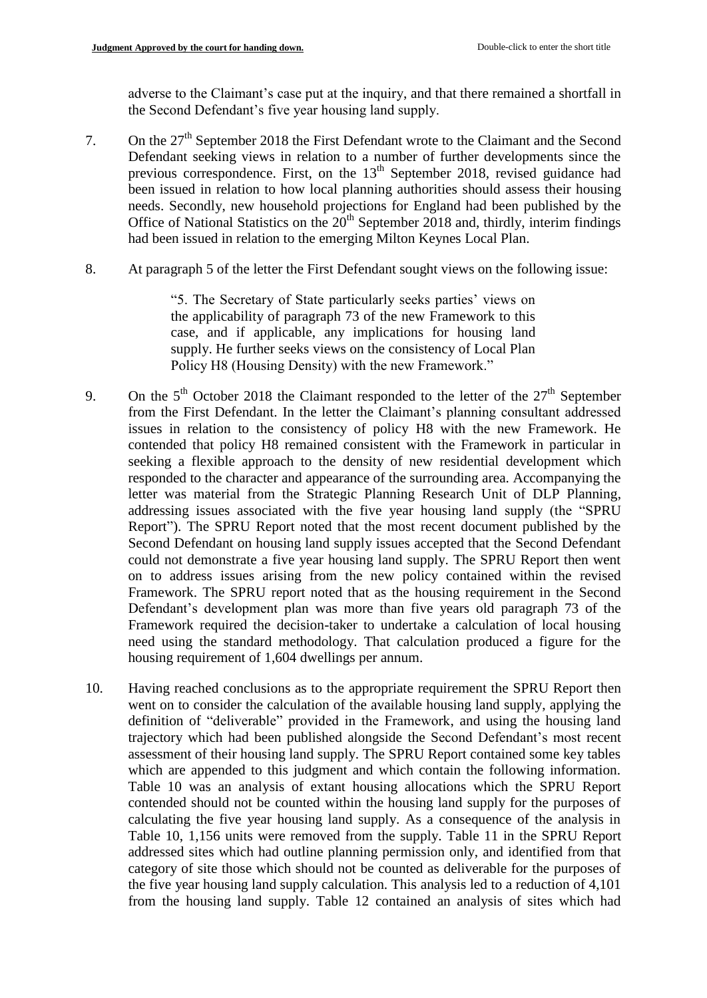adverse to the Claimant's case put at the inquiry, and that there remained a shortfall in the Second Defendant's five year housing land supply.

- 7. On the 27<sup>th</sup> September 2018 the First Defendant wrote to the Claimant and the Second Defendant seeking views in relation to a number of further developments since the previous correspondence. First, on the 13<sup>th</sup> September 2018, revised guidance had been issued in relation to how local planning authorities should assess their housing needs. Secondly, new household projections for England had been published by the Office of National Statistics on the  $20<sup>th</sup>$  September 2018 and, thirdly, interim findings had been issued in relation to the emerging Milton Keynes Local Plan.
- 8. At paragraph 5 of the letter the First Defendant sought views on the following issue:

"5. The Secretary of State particularly seeks parties' views on the applicability of paragraph 73 of the new Framework to this case, and if applicable, any implications for housing land supply. He further seeks views on the consistency of Local Plan Policy H8 (Housing Density) with the new Framework."

- 9. On the  $5<sup>th</sup>$  October 2018 the Claimant responded to the letter of the  $27<sup>th</sup>$  September from the First Defendant. In the letter the Claimant's planning consultant addressed issues in relation to the consistency of policy H8 with the new Framework. He contended that policy H8 remained consistent with the Framework in particular in seeking a flexible approach to the density of new residential development which responded to the character and appearance of the surrounding area. Accompanying the letter was material from the Strategic Planning Research Unit of DLP Planning, addressing issues associated with the five year housing land supply (the "SPRU Report"). The SPRU Report noted that the most recent document published by the Second Defendant on housing land supply issues accepted that the Second Defendant could not demonstrate a five year housing land supply. The SPRU Report then went on to address issues arising from the new policy contained within the revised Framework. The SPRU report noted that as the housing requirement in the Second Defendant's development plan was more than five years old paragraph 73 of the Framework required the decision-taker to undertake a calculation of local housing need using the standard methodology. That calculation produced a figure for the housing requirement of 1,604 dwellings per annum.
- 10. Having reached conclusions as to the appropriate requirement the SPRU Report then went on to consider the calculation of the available housing land supply, applying the definition of "deliverable" provided in the Framework, and using the housing land trajectory which had been published alongside the Second Defendant's most recent assessment of their housing land supply. The SPRU Report contained some key tables which are appended to this judgment and which contain the following information. Table 10 was an analysis of extant housing allocations which the SPRU Report contended should not be counted within the housing land supply for the purposes of calculating the five year housing land supply. As a consequence of the analysis in Table 10, 1,156 units were removed from the supply. Table 11 in the SPRU Report addressed sites which had outline planning permission only, and identified from that category of site those which should not be counted as deliverable for the purposes of the five year housing land supply calculation. This analysis led to a reduction of 4,101 from the housing land supply. Table 12 contained an analysis of sites which had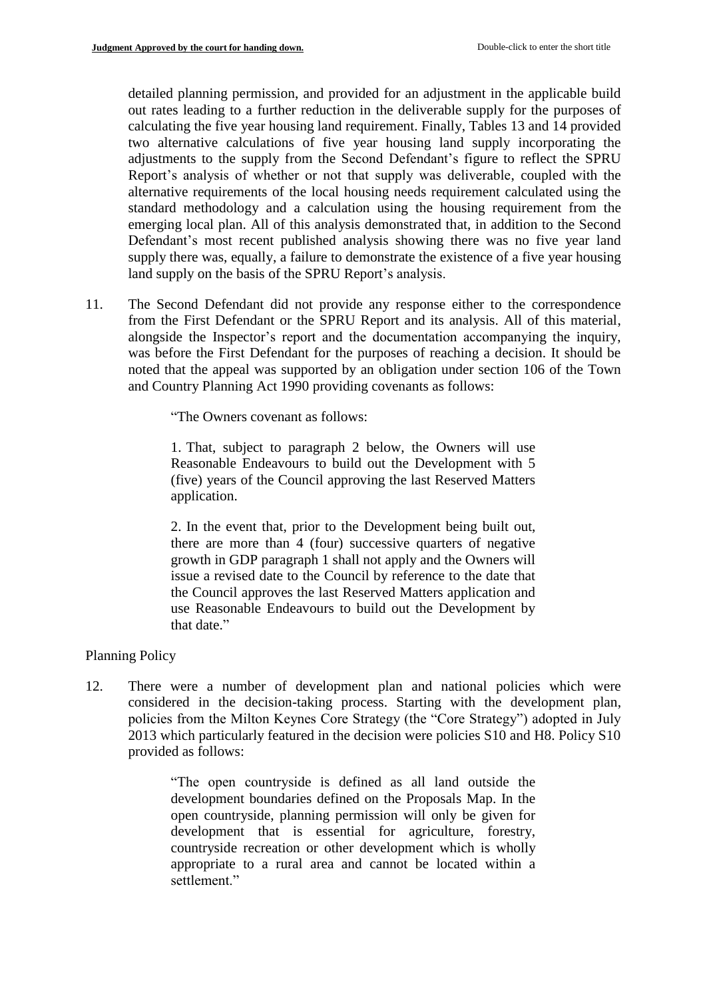detailed planning permission, and provided for an adjustment in the applicable build out rates leading to a further reduction in the deliverable supply for the purposes of calculating the five year housing land requirement. Finally, Tables 13 and 14 provided two alternative calculations of five year housing land supply incorporating the adjustments to the supply from the Second Defendant's figure to reflect the SPRU Report's analysis of whether or not that supply was deliverable, coupled with the alternative requirements of the local housing needs requirement calculated using the standard methodology and a calculation using the housing requirement from the emerging local plan. All of this analysis demonstrated that, in addition to the Second Defendant's most recent published analysis showing there was no five year land supply there was, equally, a failure to demonstrate the existence of a five year housing land supply on the basis of the SPRU Report's analysis.

11. The Second Defendant did not provide any response either to the correspondence from the First Defendant or the SPRU Report and its analysis. All of this material, alongside the Inspector's report and the documentation accompanying the inquiry, was before the First Defendant for the purposes of reaching a decision. It should be noted that the appeal was supported by an obligation under section 106 of the Town and Country Planning Act 1990 providing covenants as follows:

"The Owners covenant as follows:

1. That, subject to paragraph 2 below, the Owners will use Reasonable Endeavours to build out the Development with 5 (five) years of the Council approving the last Reserved Matters application.

2. In the event that, prior to the Development being built out, there are more than 4 (four) successive quarters of negative growth in GDP paragraph 1 shall not apply and the Owners will issue a revised date to the Council by reference to the date that the Council approves the last Reserved Matters application and use Reasonable Endeavours to build out the Development by that date."

## Planning Policy

12. There were a number of development plan and national policies which were considered in the decision-taking process. Starting with the development plan, policies from the Milton Keynes Core Strategy (the "Core Strategy") adopted in July 2013 which particularly featured in the decision were policies S10 and H8. Policy S10 provided as follows:

> "The open countryside is defined as all land outside the development boundaries defined on the Proposals Map. In the open countryside, planning permission will only be given for development that is essential for agriculture, forestry, countryside recreation or other development which is wholly appropriate to a rural area and cannot be located within a settlement."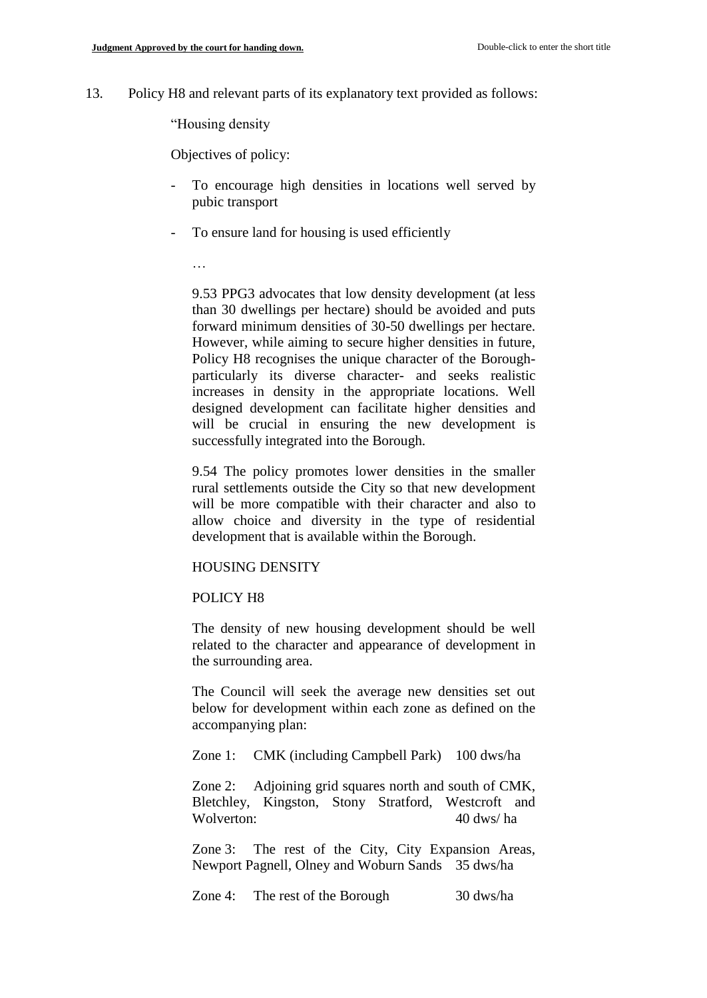13. Policy H8 and relevant parts of its explanatory text provided as follows:

"Housing density

Objectives of policy:

- To encourage high densities in locations well served by pubic transport
- To ensure land for housing is used efficiently
	- …

9.53 PPG3 advocates that low density development (at less than 30 dwellings per hectare) should be avoided and puts forward minimum densities of 30-50 dwellings per hectare. However, while aiming to secure higher densities in future, Policy H8 recognises the unique character of the Boroughparticularly its diverse character- and seeks realistic increases in density in the appropriate locations. Well designed development can facilitate higher densities and will be crucial in ensuring the new development is successfully integrated into the Borough.

9.54 The policy promotes lower densities in the smaller rural settlements outside the City so that new development will be more compatible with their character and also to allow choice and diversity in the type of residential development that is available within the Borough.

### HOUSING DENSITY

### POLICY H8

The density of new housing development should be well related to the character and appearance of development in the surrounding area.

The Council will seek the average new densities set out below for development within each zone as defined on the accompanying plan:

Zone 1: CMK (including Campbell Park) 100 dws/ha

Zone 2: Adjoining grid squares north and south of CMK, Bletchley, Kingston, Stony Stratford, Westcroft and Wolverton: 40 dws/ha

Zone 3: The rest of the City, City Expansion Areas, Newport Pagnell, Olney and Woburn Sands 35 dws/ha

Zone 4: The rest of the Borough 30 dws/ha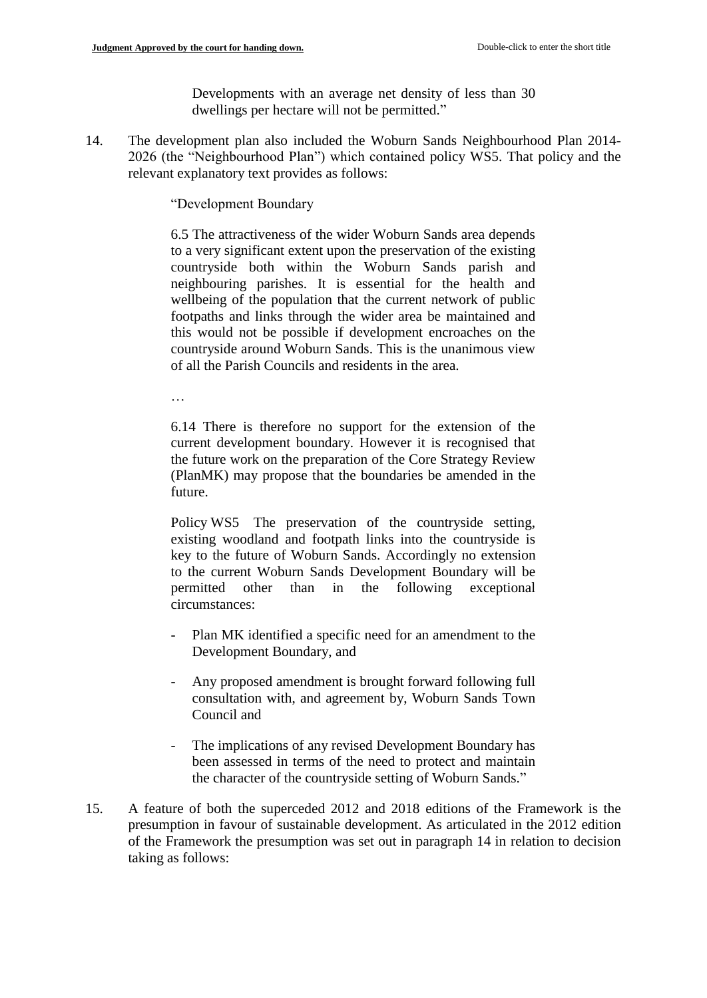Developments with an average net density of less than 30 dwellings per hectare will not be permitted."

14. The development plan also included the Woburn Sands Neighbourhood Plan 2014- 2026 (the "Neighbourhood Plan") which contained policy WS5. That policy and the relevant explanatory text provides as follows:

"Development Boundary

6.5 The attractiveness of the wider Woburn Sands area depends to a very significant extent upon the preservation of the existing countryside both within the Woburn Sands parish and neighbouring parishes. It is essential for the health and wellbeing of the population that the current network of public footpaths and links through the wider area be maintained and this would not be possible if development encroaches on the countryside around Woburn Sands. This is the unanimous view of all the Parish Councils and residents in the area.

…

6.14 There is therefore no support for the extension of the current development boundary. However it is recognised that the future work on the preparation of the Core Strategy Review (PlanMK) may propose that the boundaries be amended in the future.

Policy WS5 The preservation of the countryside setting, existing woodland and footpath links into the countryside is key to the future of Woburn Sands. Accordingly no extension to the current Woburn Sands Development Boundary will be permitted other than in the following exceptional circumstances:

- Plan MK identified a specific need for an amendment to the Development Boundary, and
- Any proposed amendment is brought forward following full consultation with, and agreement by, Woburn Sands Town Council and
- The implications of any revised Development Boundary has been assessed in terms of the need to protect and maintain the character of the countryside setting of Woburn Sands."
- 15. A feature of both the superceded 2012 and 2018 editions of the Framework is the presumption in favour of sustainable development. As articulated in the 2012 edition of the Framework the presumption was set out in paragraph 14 in relation to decision taking as follows: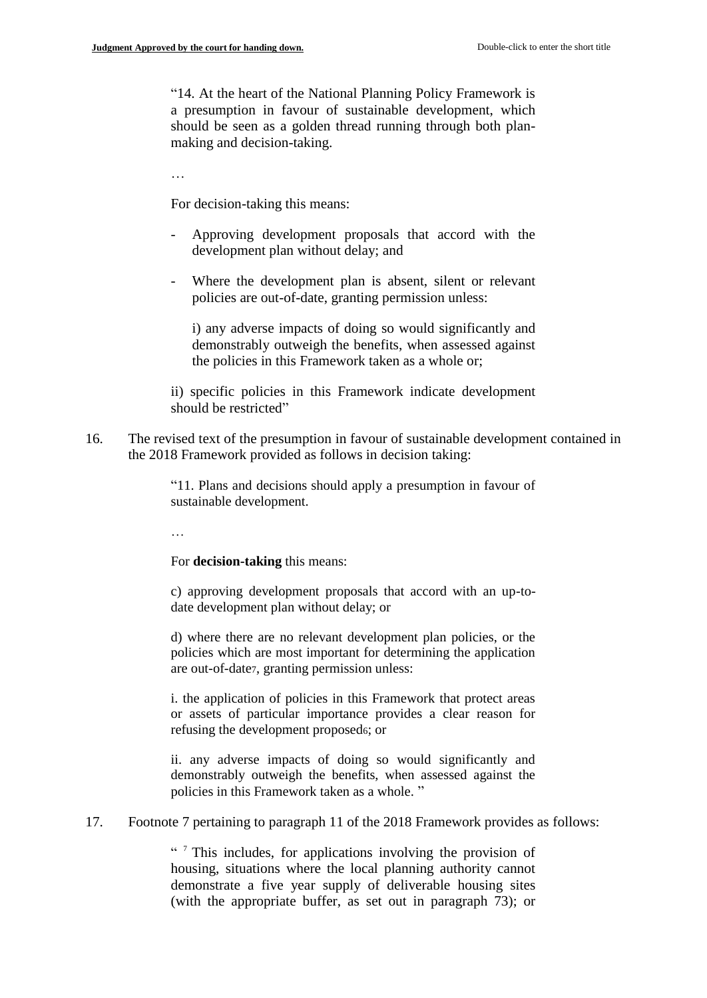"14. At the heart of the National Planning Policy Framework is a presumption in favour of sustainable development, which should be seen as a golden thread running through both planmaking and decision-taking.

…

For decision-taking this means:

- Approving development proposals that accord with the development plan without delay; and
- Where the development plan is absent, silent or relevant policies are out-of-date, granting permission unless:

i) any adverse impacts of doing so would significantly and demonstrably outweigh the benefits, when assessed against the policies in this Framework taken as a whole or;

ii) specific policies in this Framework indicate development should be restricted"

16. The revised text of the presumption in favour of sustainable development contained in the 2018 Framework provided as follows in decision taking:

> "11. Plans and decisions should apply a presumption in favour of sustainable development.

…

For **decision-taking** this means:

c) approving development proposals that accord with an up-todate development plan without delay; or

d) where there are no relevant development plan policies, or the policies which are most important for determining the application are out-of-date7, granting permission unless:

i. the application of policies in this Framework that protect areas or assets of particular importance provides a clear reason for refusing the development proposed6; or

ii. any adverse impacts of doing so would significantly and demonstrably outweigh the benefits, when assessed against the policies in this Framework taken as a whole. "

17. Footnote 7 pertaining to paragraph 11 of the 2018 Framework provides as follows:

" This includes, for applications involving the provision of housing, situations where the local planning authority cannot demonstrate a five year supply of deliverable housing sites (with the appropriate buffer, as set out in paragraph 73); or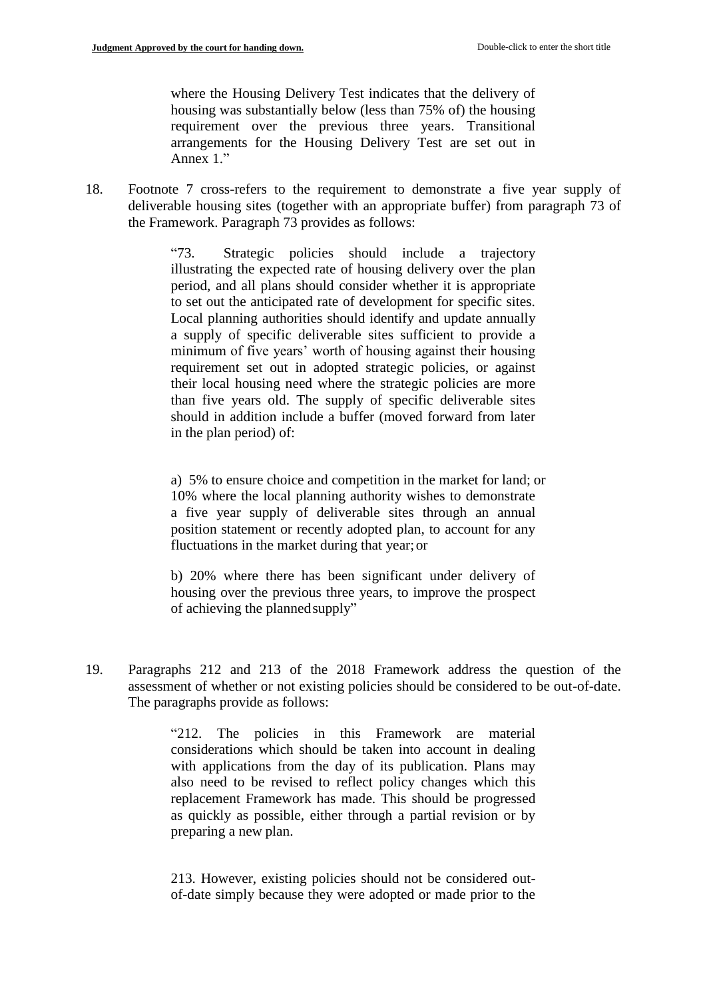where the Housing Delivery Test indicates that the delivery of housing was substantially below (less than 75% of) the housing requirement over the previous three years. Transitional arrangements for the Housing Delivery Test are set out in Annex 1."

18. Footnote 7 cross-refers to the requirement to demonstrate a five year supply of deliverable housing sites (together with an appropriate buffer) from paragraph 73 of the Framework. Paragraph 73 provides as follows:

> "73. Strategic policies should include a trajectory illustrating the expected rate of housing delivery over the plan period, and all plans should consider whether it is appropriate to set out the anticipated rate of development for specific sites. Local planning authorities should identify and update annually a supply of specific deliverable sites sufficient to provide a minimum of five years' worth of housing against their housing requirement set out in adopted strategic policies, or against their local housing need where the strategic policies are more than five years old. The supply of specific deliverable sites should in addition include a buffer (moved forward from later in the plan period) of:

 a) 5% to ensure choice and competition in the market for land; or 10% where the local planning authority wishes to demonstrate a five year supply of deliverable sites through an annual position statement or recently adopted plan, to account for any fluctuations in the market during that year;or

b) 20% where there has been significant under delivery of housing over the previous three years, to improve the prospect of achieving the plannedsupply"

19. Paragraphs 212 and 213 of the 2018 Framework address the question of the assessment of whether or not existing policies should be considered to be out-of-date. The paragraphs provide as follows:

> "212. The policies in this Framework are material considerations which should be taken into account in dealing with applications from the day of its publication. Plans may also need to be revised to reflect policy changes which this replacement Framework has made. This should be progressed as quickly as possible, either through a partial revision or by preparing a new plan.

> 213. However, existing policies should not be considered outof-date simply because they were adopted or made prior to the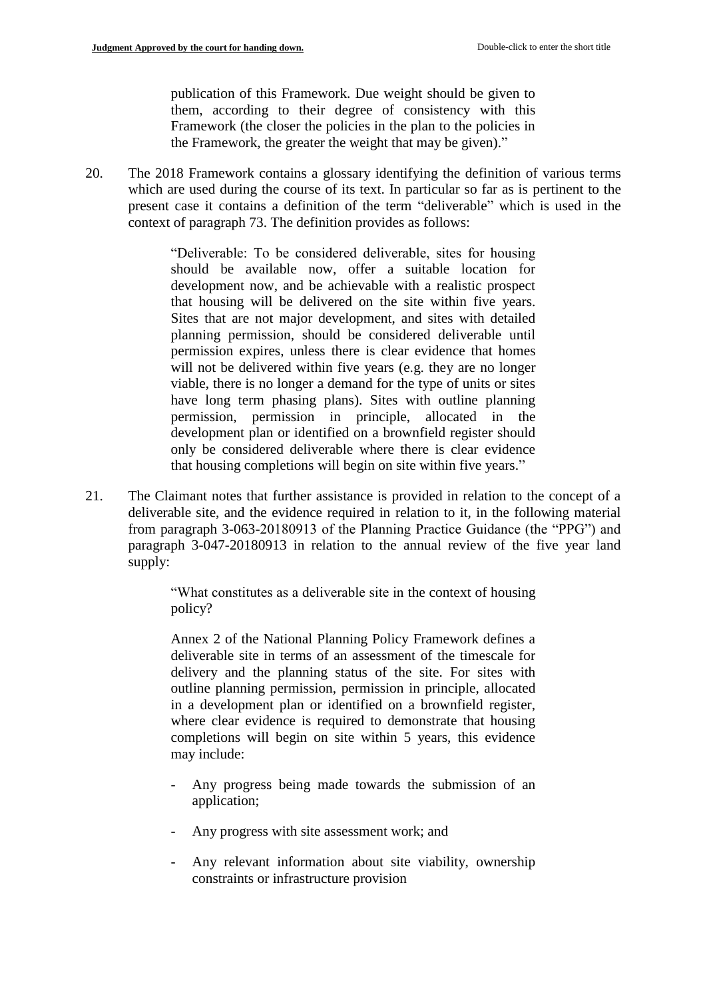publication of this Framework. Due weight should be given to them, according to their degree of consistency with this Framework (the closer the policies in the plan to the policies in the Framework, the greater the weight that may be given)."

20. The 2018 Framework contains a glossary identifying the definition of various terms which are used during the course of its text. In particular so far as is pertinent to the present case it contains a definition of the term "deliverable" which is used in the context of paragraph 73. The definition provides as follows:

> "Deliverable: To be considered deliverable, sites for housing should be available now, offer a suitable location for development now, and be achievable with a realistic prospect that housing will be delivered on the site within five years. Sites that are not major development, and sites with detailed planning permission, should be considered deliverable until permission expires, unless there is clear evidence that homes will not be delivered within five years (e.g. they are no longer viable, there is no longer a demand for the type of units or sites have long term phasing plans). Sites with outline planning permission, permission in principle, allocated in the development plan or identified on a brownfield register should only be considered deliverable where there is clear evidence that housing completions will begin on site within five years."

21. The Claimant notes that further assistance is provided in relation to the concept of a deliverable site, and the evidence required in relation to it, in the following material from paragraph 3-063-20180913 of the Planning Practice Guidance (the "PPG") and paragraph 3-047-20180913 in relation to the annual review of the five year land supply:

> "What constitutes as a deliverable site in the context of housing policy?

> Annex 2 of the National Planning Policy Framework defines a deliverable site in terms of an assessment of the timescale for delivery and the planning status of the site. For sites with outline planning permission, permission in principle, allocated in a development plan or identified on a brownfield register, where clear evidence is required to demonstrate that housing completions will begin on site within 5 years, this evidence may include:

- Any progress being made towards the submission of an application;
- Any progress with site assessment work; and
- Any relevant information about site viability, ownership constraints or infrastructure provision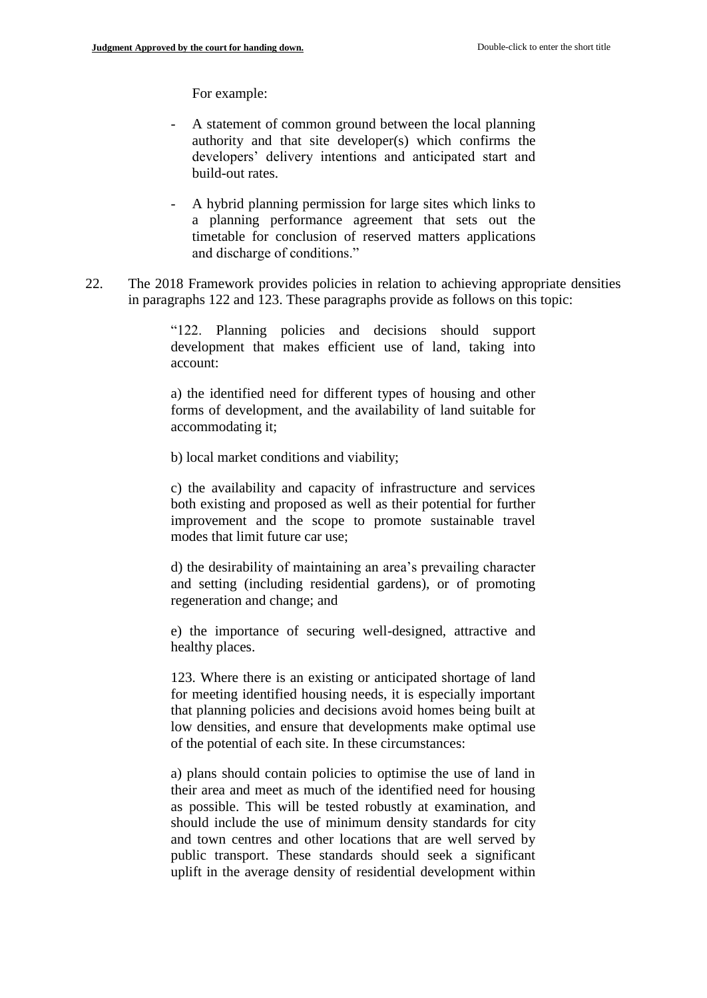For example:

- A statement of common ground between the local planning authority and that site developer(s) which confirms the developers' delivery intentions and anticipated start and build-out rates.
- A hybrid planning permission for large sites which links to a planning performance agreement that sets out the timetable for conclusion of reserved matters applications and discharge of conditions."
- 22. The 2018 Framework provides policies in relation to achieving appropriate densities in paragraphs 122 and 123. These paragraphs provide as follows on this topic:

"122. Planning policies and decisions should support development that makes efficient use of land, taking into account:

a) the identified need for different types of housing and other forms of development, and the availability of land suitable for accommodating it;

b) local market conditions and viability;

c) the availability and capacity of infrastructure and services both existing and proposed as well as their potential for further improvement and the scope to promote sustainable travel modes that limit future car use;

d) the desirability of maintaining an area's prevailing character and setting (including residential gardens), or of promoting regeneration and change; and

e) the importance of securing well-designed, attractive and healthy places.

123. Where there is an existing or anticipated shortage of land for meeting identified housing needs, it is especially important that planning policies and decisions avoid homes being built at low densities, and ensure that developments make optimal use of the potential of each site. In these circumstances:

a) plans should contain policies to optimise the use of land in their area and meet as much of the identified need for housing as possible. This will be tested robustly at examination, and should include the use of minimum density standards for city and town centres and other locations that are well served by public transport. These standards should seek a significant uplift in the average density of residential development within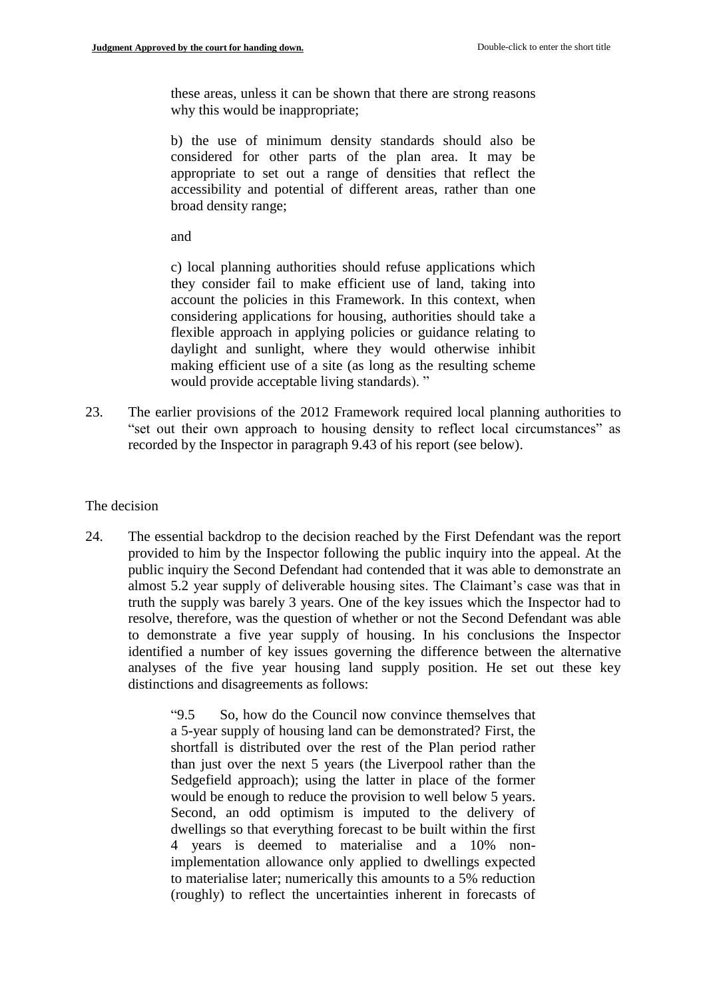these areas, unless it can be shown that there are strong reasons why this would be inappropriate;

b) the use of minimum density standards should also be considered for other parts of the plan area. It may be appropriate to set out a range of densities that reflect the accessibility and potential of different areas, rather than one broad density range;

and

c) local planning authorities should refuse applications which they consider fail to make efficient use of land, taking into account the policies in this Framework. In this context, when considering applications for housing, authorities should take a flexible approach in applying policies or guidance relating to daylight and sunlight, where they would otherwise inhibit making efficient use of a site (as long as the resulting scheme would provide acceptable living standards). "

23. The earlier provisions of the 2012 Framework required local planning authorities to "set out their own approach to housing density to reflect local circumstances" as recorded by the Inspector in paragraph 9.43 of his report (see below).

#### The decision

24. The essential backdrop to the decision reached by the First Defendant was the report provided to him by the Inspector following the public inquiry into the appeal. At the public inquiry the Second Defendant had contended that it was able to demonstrate an almost 5.2 year supply of deliverable housing sites. The Claimant's case was that in truth the supply was barely 3 years. One of the key issues which the Inspector had to resolve, therefore, was the question of whether or not the Second Defendant was able to demonstrate a five year supply of housing. In his conclusions the Inspector identified a number of key issues governing the difference between the alternative analyses of the five year housing land supply position. He set out these key distinctions and disagreements as follows:

> "9.5 So, how do the Council now convince themselves that a 5-year supply of housing land can be demonstrated? First, the shortfall is distributed over the rest of the Plan period rather than just over the next 5 years (the Liverpool rather than the Sedgefield approach); using the latter in place of the former would be enough to reduce the provision to well below 5 years. Second, an odd optimism is imputed to the delivery of dwellings so that everything forecast to be built within the first 4 years is deemed to materialise and a 10% nonimplementation allowance only applied to dwellings expected to materialise later; numerically this amounts to a 5% reduction (roughly) to reflect the uncertainties inherent in forecasts of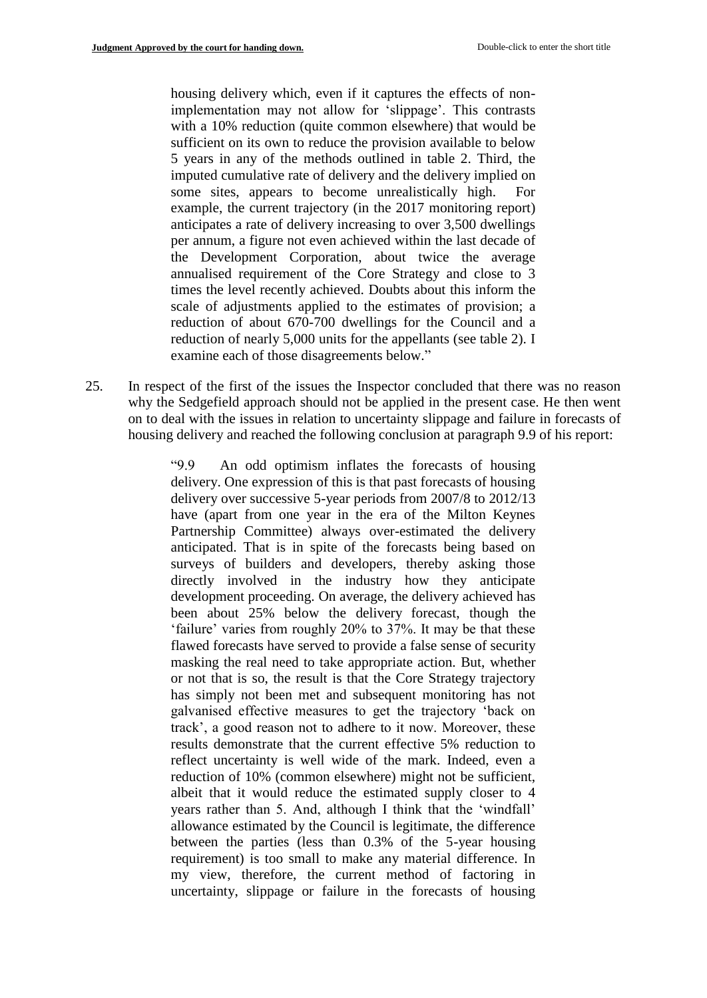housing delivery which, even if it captures the effects of nonimplementation may not allow for 'slippage'. This contrasts with a 10% reduction (quite common elsewhere) that would be sufficient on its own to reduce the provision available to below 5 years in any of the methods outlined in table 2. Third, the imputed cumulative rate of delivery and the delivery implied on some sites, appears to become unrealistically high. For example, the current trajectory (in the 2017 monitoring report) anticipates a rate of delivery increasing to over 3,500 dwellings per annum, a figure not even achieved within the last decade of the Development Corporation, about twice the average annualised requirement of the Core Strategy and close to 3 times the level recently achieved. Doubts about this inform the scale of adjustments applied to the estimates of provision; a reduction of about 670-700 dwellings for the Council and a reduction of nearly 5,000 units for the appellants (see table 2). I examine each of those disagreements below."

25. In respect of the first of the issues the Inspector concluded that there was no reason why the Sedgefield approach should not be applied in the present case. He then went on to deal with the issues in relation to uncertainty slippage and failure in forecasts of housing delivery and reached the following conclusion at paragraph 9.9 of his report:

> "9.9 An odd optimism inflates the forecasts of housing delivery. One expression of this is that past forecasts of housing delivery over successive 5-year periods from 2007/8 to 2012/13 have (apart from one year in the era of the Milton Keynes Partnership Committee) always over-estimated the delivery anticipated. That is in spite of the forecasts being based on surveys of builders and developers, thereby asking those directly involved in the industry how they anticipate development proceeding. On average, the delivery achieved has been about 25% below the delivery forecast, though the 'failure' varies from roughly 20% to 37%. It may be that these flawed forecasts have served to provide a false sense of security masking the real need to take appropriate action. But, whether or not that is so, the result is that the Core Strategy trajectory has simply not been met and subsequent monitoring has not galvanised effective measures to get the trajectory 'back on track', a good reason not to adhere to it now. Moreover, these results demonstrate that the current effective 5% reduction to reflect uncertainty is well wide of the mark. Indeed, even a reduction of 10% (common elsewhere) might not be sufficient, albeit that it would reduce the estimated supply closer to 4 years rather than 5. And, although I think that the 'windfall' allowance estimated by the Council is legitimate, the difference between the parties (less than 0.3% of the 5-year housing requirement) is too small to make any material difference. In my view, therefore, the current method of factoring in uncertainty, slippage or failure in the forecasts of housing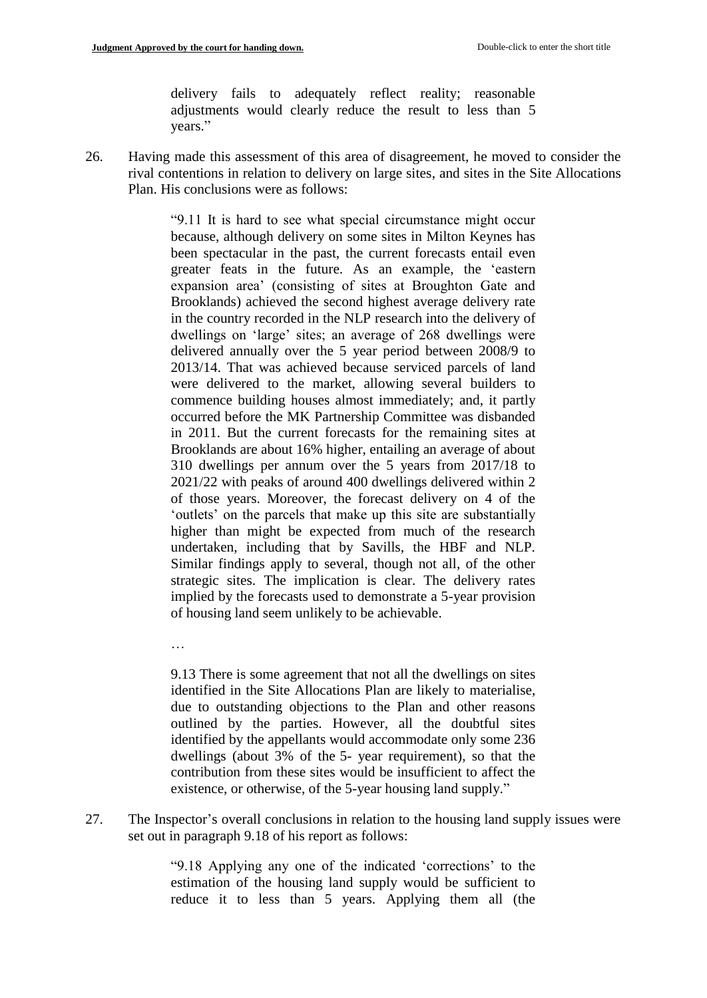…

delivery fails to adequately reflect reality; reasonable adjustments would clearly reduce the result to less than 5 years."

26. Having made this assessment of this area of disagreement, he moved to consider the rival contentions in relation to delivery on large sites, and sites in the Site Allocations Plan. His conclusions were as follows:

> "9.11 It is hard to see what special circumstance might occur because, although delivery on some sites in Milton Keynes has been spectacular in the past, the current forecasts entail even greater feats in the future. As an example, the 'eastern expansion area' (consisting of sites at Broughton Gate and Brooklands) achieved the second highest average delivery rate in the country recorded in the NLP research into the delivery of dwellings on 'large' sites; an average of 268 dwellings were delivered annually over the 5 year period between 2008/9 to 2013/14. That was achieved because serviced parcels of land were delivered to the market, allowing several builders to commence building houses almost immediately; and, it partly occurred before the MK Partnership Committee was disbanded in 2011. But the current forecasts for the remaining sites at Brooklands are about 16% higher, entailing an average of about 310 dwellings per annum over the 5 years from 2017/18 to 2021/22 with peaks of around 400 dwellings delivered within 2 of those years. Moreover, the forecast delivery on 4 of the 'outlets' on the parcels that make up this site are substantially higher than might be expected from much of the research undertaken, including that by Savills, the HBF and NLP. Similar findings apply to several, though not all, of the other strategic sites. The implication is clear. The delivery rates implied by the forecasts used to demonstrate a 5-year provision of housing land seem unlikely to be achievable.

> 9.13 There is some agreement that not all the dwellings on sites identified in the Site Allocations Plan are likely to materialise, due to outstanding objections to the Plan and other reasons outlined by the parties. However, all the doubtful sites identified by the appellants would accommodate only some 236 dwellings (about 3% of the 5- year requirement), so that the contribution from these sites would be insufficient to affect the existence, or otherwise, of the 5-year housing land supply."

27. The Inspector's overall conclusions in relation to the housing land supply issues were set out in paragraph 9.18 of his report as follows:

> "9.18 Applying any one of the indicated 'corrections' to the estimation of the housing land supply would be sufficient to reduce it to less than 5 years. Applying them all (the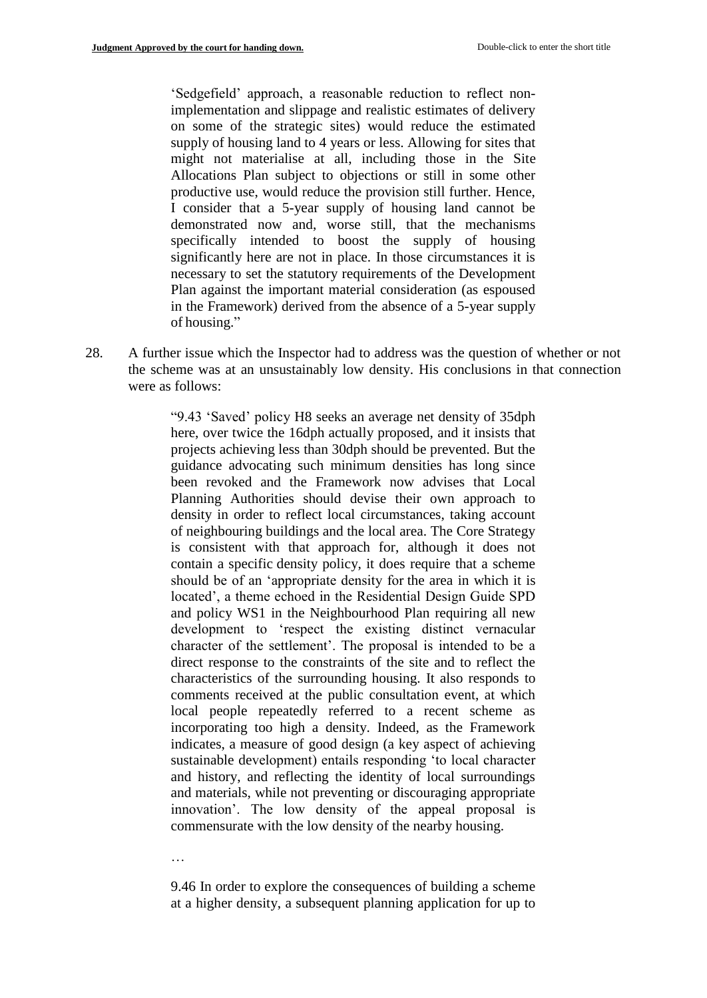'Sedgefield' approach, a reasonable reduction to reflect nonimplementation and slippage and realistic estimates of delivery on some of the strategic sites) would reduce the estimated supply of housing land to 4 years or less. Allowing for sites that might not materialise at all, including those in the Site Allocations Plan subject to objections or still in some other productive use, would reduce the provision still further. Hence, I consider that a 5-year supply of housing land cannot be demonstrated now and, worse still, that the mechanisms specifically intended to boost the supply of housing significantly here are not in place. In those circumstances it is necessary to set the statutory requirements of the Development Plan against the important material consideration (as espoused in the Framework) derived from the absence of a 5-year supply of housing."

28. A further issue which the Inspector had to address was the question of whether or not the scheme was at an unsustainably low density. His conclusions in that connection were as follows:

> "9.43 'Saved' policy H8 seeks an average net density of 35dph here, over twice the 16dph actually proposed, and it insists that projects achieving less than 30dph should be prevented. But the guidance advocating such minimum densities has long since been revoked and the Framework now advises that Local Planning Authorities should devise their own approach to density in order to reflect local circumstances, taking account of neighbouring buildings and the local area. The Core Strategy is consistent with that approach for, although it does not contain a specific density policy, it does require that a scheme should be of an 'appropriate density for the area in which it is located', a theme echoed in the Residential Design Guide SPD and policy WS1 in the Neighbourhood Plan requiring all new development to 'respect the existing distinct vernacular character of the settlement'. The proposal is intended to be a direct response to the constraints of the site and to reflect the characteristics of the surrounding housing. It also responds to comments received at the public consultation event, at which local people repeatedly referred to a recent scheme as incorporating too high a density. Indeed, as the Framework indicates, a measure of good design (a key aspect of achieving sustainable development) entails responding 'to local character and history, and reflecting the identity of local surroundings and materials, while not preventing or discouraging appropriate innovation'. The low density of the appeal proposal is commensurate with the low density of the nearby housing.

…

9.46 In order to explore the consequences of building a scheme at a higher density, a subsequent planning application for up to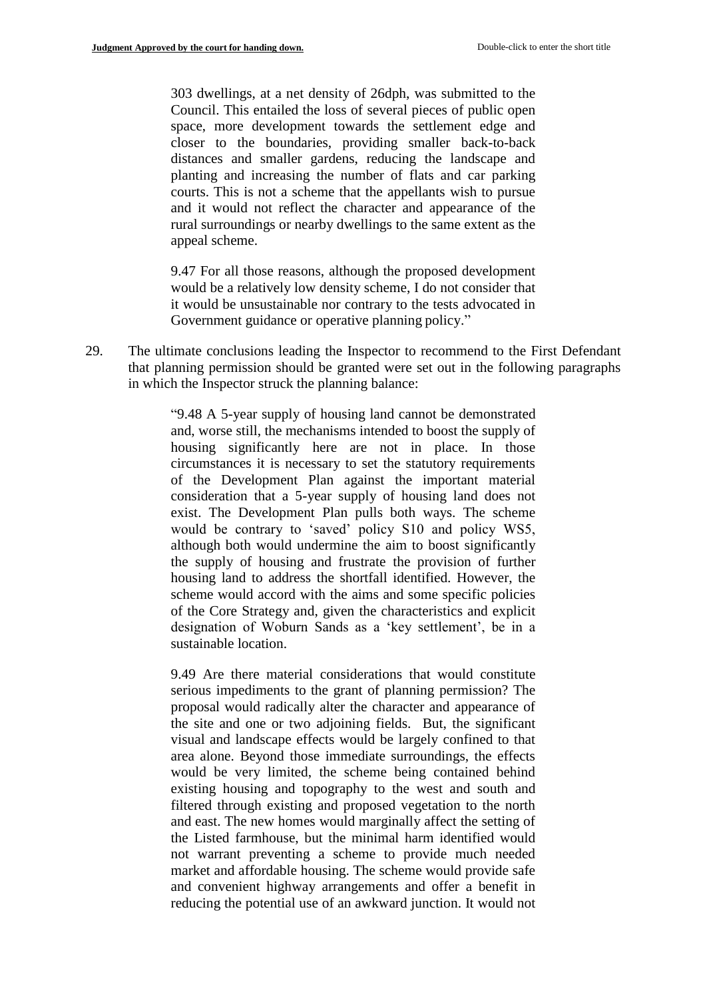303 dwellings, at a net density of 26dph, was submitted to the Council. This entailed the loss of several pieces of public open space, more development towards the settlement edge and closer to the boundaries, providing smaller back-to-back distances and smaller gardens, reducing the landscape and planting and increasing the number of flats and car parking courts. This is not a scheme that the appellants wish to pursue and it would not reflect the character and appearance of the rural surroundings or nearby dwellings to the same extent as the appeal scheme.

9.47 For all those reasons, although the proposed development would be a relatively low density scheme, I do not consider that it would be unsustainable nor contrary to the tests advocated in Government guidance or operative planning policy."

29. The ultimate conclusions leading the Inspector to recommend to the First Defendant that planning permission should be granted were set out in the following paragraphs in which the Inspector struck the planning balance:

> "9.48 A 5-year supply of housing land cannot be demonstrated and, worse still, the mechanisms intended to boost the supply of housing significantly here are not in place. In those circumstances it is necessary to set the statutory requirements of the Development Plan against the important material consideration that a 5-year supply of housing land does not exist. The Development Plan pulls both ways. The scheme would be contrary to 'saved' policy S10 and policy WS5, although both would undermine the aim to boost significantly the supply of housing and frustrate the provision of further housing land to address the shortfall identified. However, the scheme would accord with the aims and some specific policies of the Core Strategy and, given the characteristics and explicit designation of Woburn Sands as a 'key settlement', be in a sustainable location.

> 9.49 Are there material considerations that would constitute serious impediments to the grant of planning permission? The proposal would radically alter the character and appearance of the site and one or two adjoining fields. But, the significant visual and landscape effects would be largely confined to that area alone. Beyond those immediate surroundings, the effects would be very limited, the scheme being contained behind existing housing and topography to the west and south and filtered through existing and proposed vegetation to the north and east. The new homes would marginally affect the setting of the Listed farmhouse, but the minimal harm identified would not warrant preventing a scheme to provide much needed market and affordable housing. The scheme would provide safe and convenient highway arrangements and offer a benefit in reducing the potential use of an awkward junction. It would not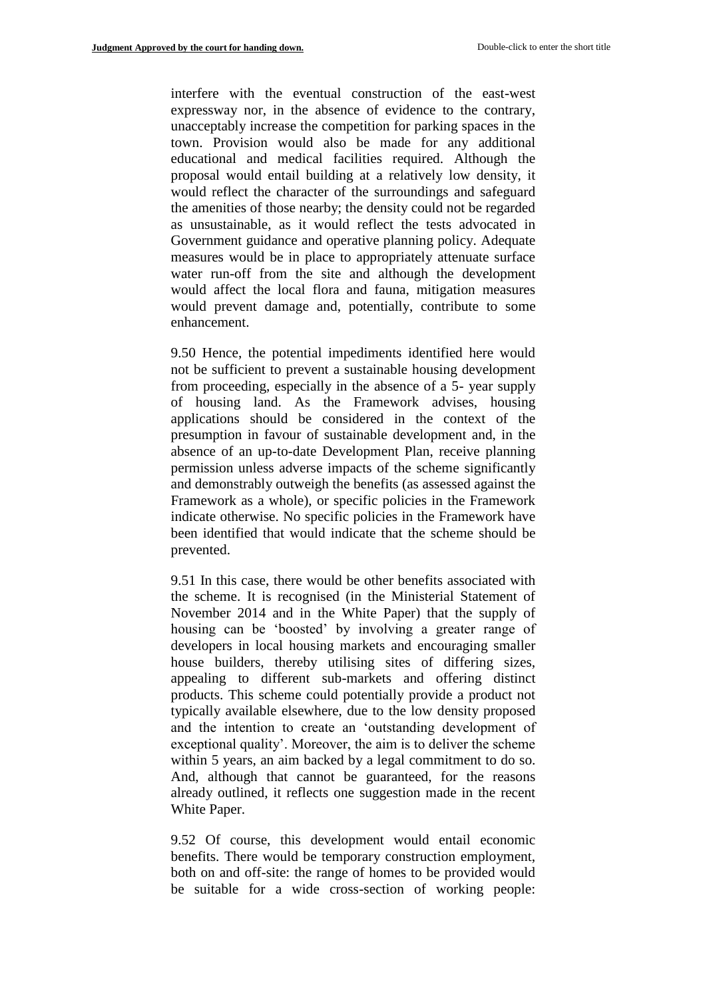interfere with the eventual construction of the east-west expressway nor, in the absence of evidence to the contrary, unacceptably increase the competition for parking spaces in the town. Provision would also be made for any additional educational and medical facilities required. Although the proposal would entail building at a relatively low density, it would reflect the character of the surroundings and safeguard the amenities of those nearby; the density could not be regarded as unsustainable, as it would reflect the tests advocated in Government guidance and operative planning policy. Adequate measures would be in place to appropriately attenuate surface water run-off from the site and although the development would affect the local flora and fauna, mitigation measures would prevent damage and, potentially, contribute to some enhancement.

9.50 Hence, the potential impediments identified here would not be sufficient to prevent a sustainable housing development from proceeding, especially in the absence of a 5- year supply of housing land. As the Framework advises, housing applications should be considered in the context of the presumption in favour of sustainable development and, in the absence of an up-to-date Development Plan, receive planning permission unless adverse impacts of the scheme significantly and demonstrably outweigh the benefits (as assessed against the Framework as a whole), or specific policies in the Framework indicate otherwise. No specific policies in the Framework have been identified that would indicate that the scheme should be prevented.

9.51 In this case, there would be other benefits associated with the scheme. It is recognised (in the Ministerial Statement of November 2014 and in the White Paper) that the supply of housing can be 'boosted' by involving a greater range of developers in local housing markets and encouraging smaller house builders, thereby utilising sites of differing sizes, appealing to different sub-markets and offering distinct products. This scheme could potentially provide a product not typically available elsewhere, due to the low density proposed and the intention to create an 'outstanding development of exceptional quality'. Moreover, the aim is to deliver the scheme within 5 years, an aim backed by a legal commitment to do so. And, although that cannot be guaranteed, for the reasons already outlined, it reflects one suggestion made in the recent White Paper.

9.52 Of course, this development would entail economic benefits. There would be temporary construction employment, both on and off-site: the range of homes to be provided would be suitable for a wide cross-section of working people: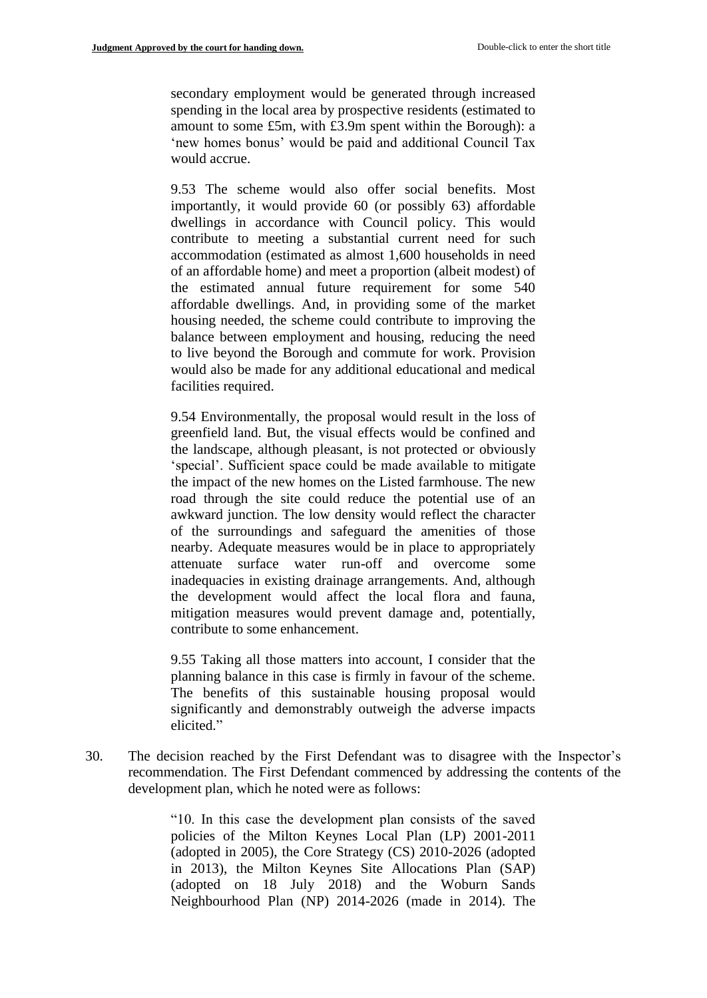secondary employment would be generated through increased spending in the local area by prospective residents (estimated to amount to some £5m, with £3.9m spent within the Borough): a 'new homes bonus' would be paid and additional Council Tax would accrue.

9.53 The scheme would also offer social benefits. Most importantly, it would provide 60 (or possibly 63) affordable dwellings in accordance with Council policy. This would contribute to meeting a substantial current need for such accommodation (estimated as almost 1,600 households in need of an affordable home) and meet a proportion (albeit modest) of the estimated annual future requirement for some 540 affordable dwellings. And, in providing some of the market housing needed, the scheme could contribute to improving the balance between employment and housing, reducing the need to live beyond the Borough and commute for work. Provision would also be made for any additional educational and medical facilities required.

9.54 Environmentally, the proposal would result in the loss of greenfield land. But, the visual effects would be confined and the landscape, although pleasant, is not protected or obviously 'special'. Sufficient space could be made available to mitigate the impact of the new homes on the Listed farmhouse. The new road through the site could reduce the potential use of an awkward junction. The low density would reflect the character of the surroundings and safeguard the amenities of those nearby. Adequate measures would be in place to appropriately attenuate surface water run-off and overcome some inadequacies in existing drainage arrangements. And, although the development would affect the local flora and fauna, mitigation measures would prevent damage and, potentially, contribute to some enhancement.

9.55 Taking all those matters into account, I consider that the planning balance in this case is firmly in favour of the scheme. The benefits of this sustainable housing proposal would significantly and demonstrably outweigh the adverse impacts elicited."

30. The decision reached by the First Defendant was to disagree with the Inspector's recommendation. The First Defendant commenced by addressing the contents of the development plan, which he noted were as follows:

> "10. In this case the development plan consists of the saved policies of the Milton Keynes Local Plan (LP) 2001-2011 (adopted in 2005), the Core Strategy (CS) 2010-2026 (adopted in 2013), the Milton Keynes Site Allocations Plan (SAP) (adopted on 18 July 2018) and the Woburn Sands Neighbourhood Plan (NP) 2014-2026 (made in 2014). The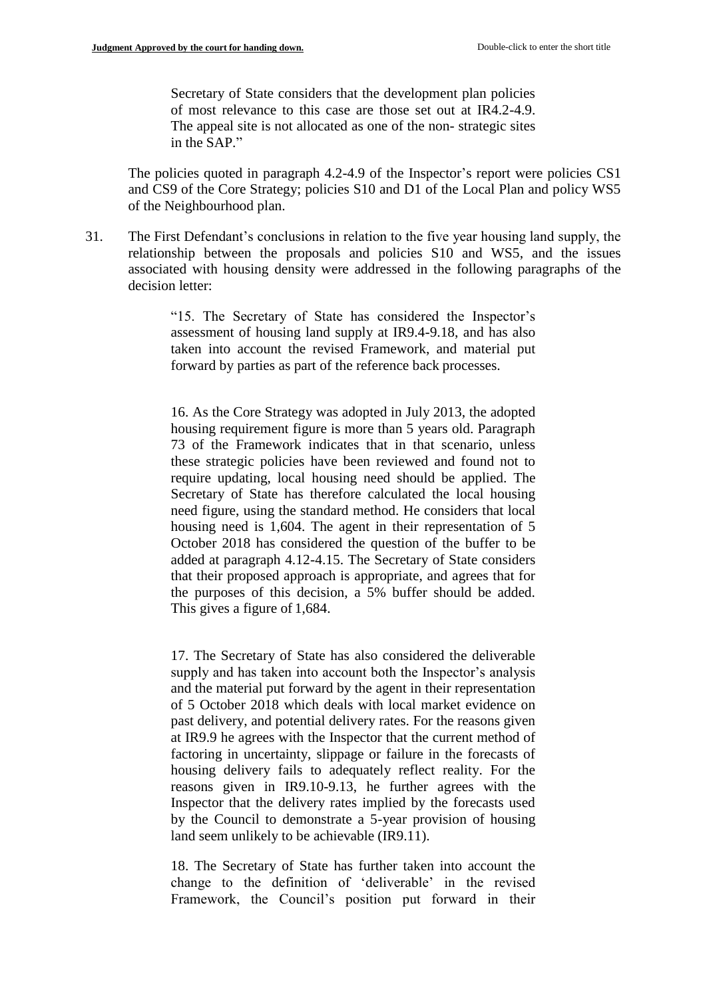Secretary of State considers that the development plan policies of most relevance to this case are those set out at IR4.2-4.9. The appeal site is not allocated as one of the non-strategic sites in the SAP."

The policies quoted in paragraph 4.2-4.9 of the Inspector's report were policies CS1 and CS9 of the Core Strategy; policies S10 and D1 of the Local Plan and policy WS5 of the Neighbourhood plan.

31. The First Defendant's conclusions in relation to the five year housing land supply, the relationship between the proposals and policies S10 and WS5, and the issues associated with housing density were addressed in the following paragraphs of the decision letter:

> "15. The Secretary of State has considered the Inspector's assessment of housing land supply at IR9.4-9.18, and has also taken into account the revised Framework, and material put forward by parties as part of the reference back processes.

> 16. As the Core Strategy was adopted in July 2013, the adopted housing requirement figure is more than 5 years old. Paragraph 73 of the Framework indicates that in that scenario, unless these strategic policies have been reviewed and found not to require updating, local housing need should be applied. The Secretary of State has therefore calculated the local housing need figure, using the standard method. He considers that local housing need is 1,604. The agent in their representation of 5 October 2018 has considered the question of the buffer to be added at paragraph 4.12-4.15. The Secretary of State considers that their proposed approach is appropriate, and agrees that for the purposes of this decision, a 5% buffer should be added. This gives a figure of 1,684.

> 17. The Secretary of State has also considered the deliverable supply and has taken into account both the Inspector's analysis and the material put forward by the agent in their representation of 5 October 2018 which deals with local market evidence on past delivery, and potential delivery rates. For the reasons given at IR9.9 he agrees with the Inspector that the current method of factoring in uncertainty, slippage or failure in the forecasts of housing delivery fails to adequately reflect reality. For the reasons given in IR9.10-9.13, he further agrees with the Inspector that the delivery rates implied by the forecasts used by the Council to demonstrate a 5-year provision of housing land seem unlikely to be achievable (IR9.11).

> 18. The Secretary of State has further taken into account the change to the definition of 'deliverable' in the revised Framework, the Council's position put forward in their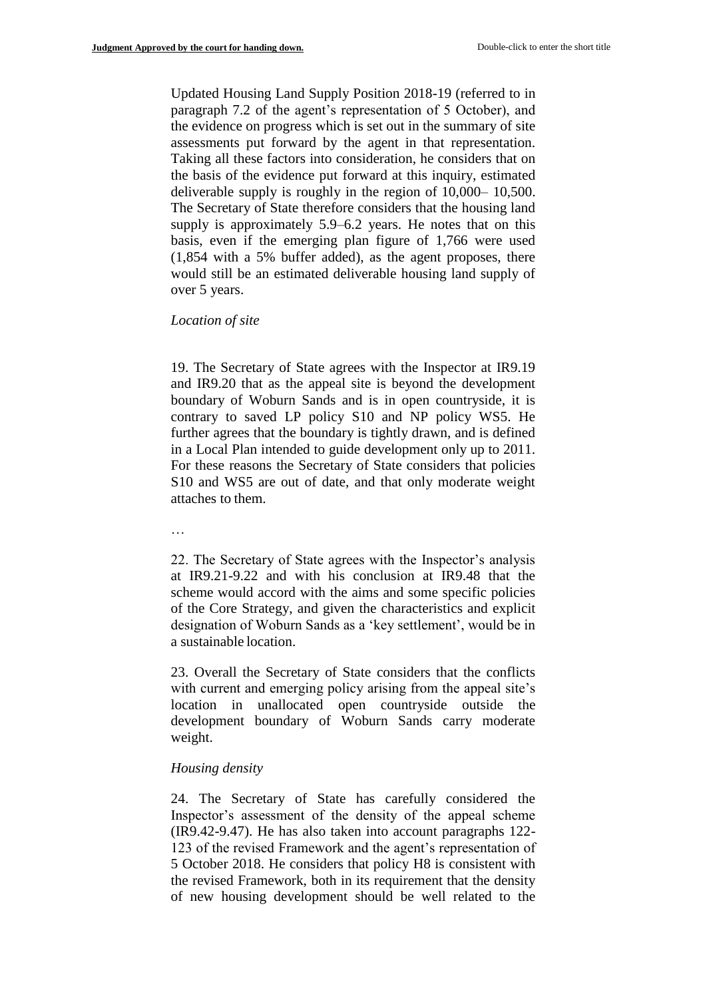Updated Housing Land Supply Position 2018-19 (referred to in paragraph 7.2 of the agent's representation of 5 October), and the evidence on progress which is set out in the summary of site assessments put forward by the agent in that representation. Taking all these factors into consideration, he considers that on the basis of the evidence put forward at this inquiry, estimated deliverable supply is roughly in the region of 10,000– 10,500. The Secretary of State therefore considers that the housing land supply is approximately 5.9–6.2 years. He notes that on this basis, even if the emerging plan figure of 1,766 were used (1,854 with a 5% buffer added), as the agent proposes, there would still be an estimated deliverable housing land supply of over 5 years.

#### *Location of site*

19. The Secretary of State agrees with the Inspector at IR9.19 and IR9.20 that as the appeal site is beyond the development boundary of Woburn Sands and is in open countryside, it is contrary to saved LP policy S10 and NP policy WS5. He further agrees that the boundary is tightly drawn, and is defined in a Local Plan intended to guide development only up to 2011. For these reasons the Secretary of State considers that policies S10 and WS5 are out of date, and that only moderate weight attaches to them.

…

22. The Secretary of State agrees with the Inspector's analysis at IR9.21-9.22 and with his conclusion at IR9.48 that the scheme would accord with the aims and some specific policies of the Core Strategy, and given the characteristics and explicit designation of Woburn Sands as a 'key settlement', would be in a sustainable location.

23. Overall the Secretary of State considers that the conflicts with current and emerging policy arising from the appeal site's location in unallocated open countryside outside the development boundary of Woburn Sands carry moderate weight.

### *Housing density*

24. The Secretary of State has carefully considered the Inspector's assessment of the density of the appeal scheme (IR9.42-9.47). He has also taken into account paragraphs 122- 123 of the revised Framework and the agent's representation of 5 October 2018. He considers that policy H8 is consistent with the revised Framework, both in its requirement that the density of new housing development should be well related to the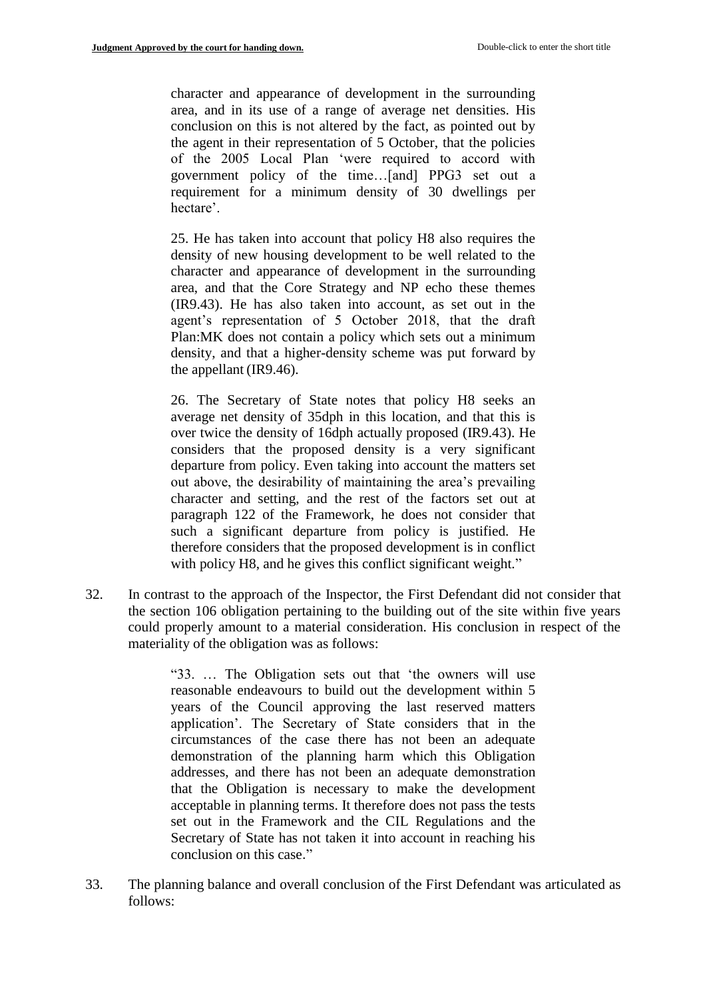character and appearance of development in the surrounding area, and in its use of a range of average net densities. His conclusion on this is not altered by the fact, as pointed out by the agent in their representation of 5 October, that the policies of the 2005 Local Plan 'were required to accord with government policy of the time…[and] PPG3 set out a requirement for a minimum density of 30 dwellings per hectare'.

25. He has taken into account that policy H8 also requires the density of new housing development to be well related to the character and appearance of development in the surrounding area, and that the Core Strategy and NP echo these themes (IR9.43). He has also taken into account, as set out in the agent's representation of 5 October 2018, that the draft Plan:MK does not contain a policy which sets out a minimum density, and that a higher-density scheme was put forward by the appellant (IR9.46).

26. The Secretary of State notes that policy H8 seeks an average net density of 35dph in this location, and that this is over twice the density of 16dph actually proposed (IR9.43). He considers that the proposed density is a very significant departure from policy. Even taking into account the matters set out above, the desirability of maintaining the area's prevailing character and setting, and the rest of the factors set out at paragraph 122 of the Framework, he does not consider that such a significant departure from policy is justified. He therefore considers that the proposed development is in conflict with policy H8, and he gives this conflict significant weight."

32. In contrast to the approach of the Inspector, the First Defendant did not consider that the section 106 obligation pertaining to the building out of the site within five years could properly amount to a material consideration. His conclusion in respect of the materiality of the obligation was as follows:

> "33. … The Obligation sets out that 'the owners will use reasonable endeavours to build out the development within 5 years of the Council approving the last reserved matters application'. The Secretary of State considers that in the circumstances of the case there has not been an adequate demonstration of the planning harm which this Obligation addresses, and there has not been an adequate demonstration that the Obligation is necessary to make the development acceptable in planning terms. It therefore does not pass the tests set out in the Framework and the CIL Regulations and the Secretary of State has not taken it into account in reaching his conclusion on this case."

33. The planning balance and overall conclusion of the First Defendant was articulated as follows: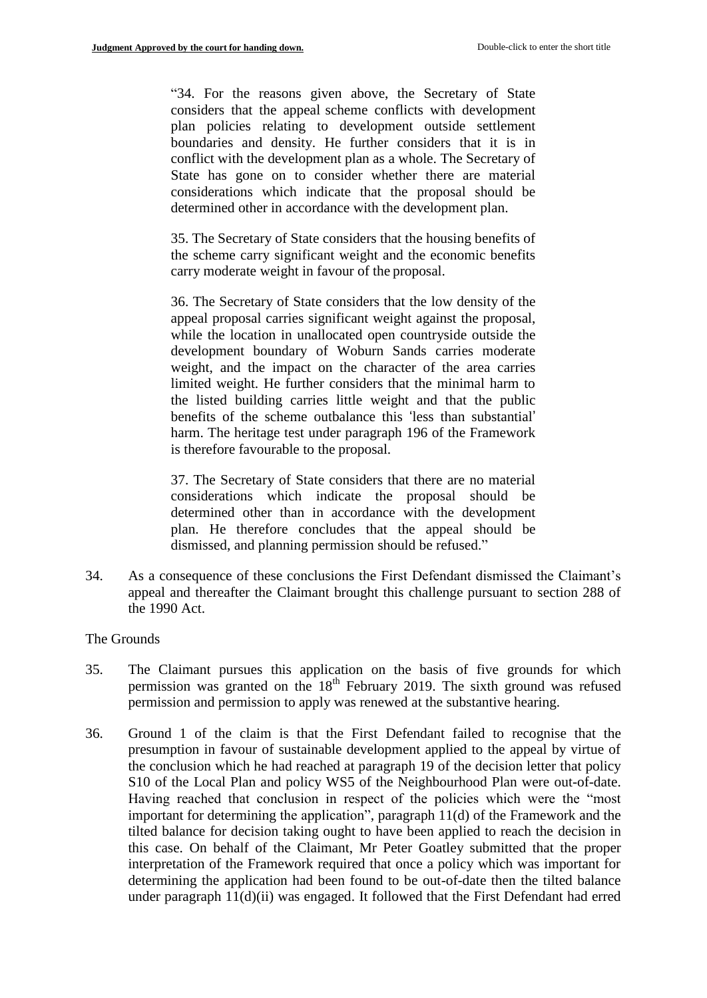"34. For the reasons given above, the Secretary of State considers that the appeal scheme conflicts with development plan policies relating to development outside settlement boundaries and density. He further considers that it is in conflict with the development plan as a whole. The Secretary of State has gone on to consider whether there are material considerations which indicate that the proposal should be determined other in accordance with the development plan.

35. The Secretary of State considers that the housing benefits of the scheme carry significant weight and the economic benefits carry moderate weight in favour of the proposal.

36. The Secretary of State considers that the low density of the appeal proposal carries significant weight against the proposal, while the location in unallocated open countryside outside the development boundary of Woburn Sands carries moderate weight, and the impact on the character of the area carries limited weight. He further considers that the minimal harm to the listed building carries little weight and that the public benefits of the scheme outbalance this 'less than substantial' harm. The heritage test under paragraph 196 of the Framework is therefore favourable to the proposal.

37. The Secretary of State considers that there are no material considerations which indicate the proposal should be determined other than in accordance with the development plan. He therefore concludes that the appeal should be dismissed, and planning permission should be refused."

34. As a consequence of these conclusions the First Defendant dismissed the Claimant's appeal and thereafter the Claimant brought this challenge pursuant to section 288 of the 1990 Act.

### The Grounds

- 35. The Claimant pursues this application on the basis of five grounds for which permission was granted on the  $18<sup>th</sup>$  February 2019. The sixth ground was refused permission and permission to apply was renewed at the substantive hearing.
- 36. Ground 1 of the claim is that the First Defendant failed to recognise that the presumption in favour of sustainable development applied to the appeal by virtue of the conclusion which he had reached at paragraph 19 of the decision letter that policy S10 of the Local Plan and policy WS5 of the Neighbourhood Plan were out-of-date. Having reached that conclusion in respect of the policies which were the "most important for determining the application", paragraph 11(d) of the Framework and the tilted balance for decision taking ought to have been applied to reach the decision in this case. On behalf of the Claimant, Mr Peter Goatley submitted that the proper interpretation of the Framework required that once a policy which was important for determining the application had been found to be out-of-date then the tilted balance under paragraph 11(d)(ii) was engaged. It followed that the First Defendant had erred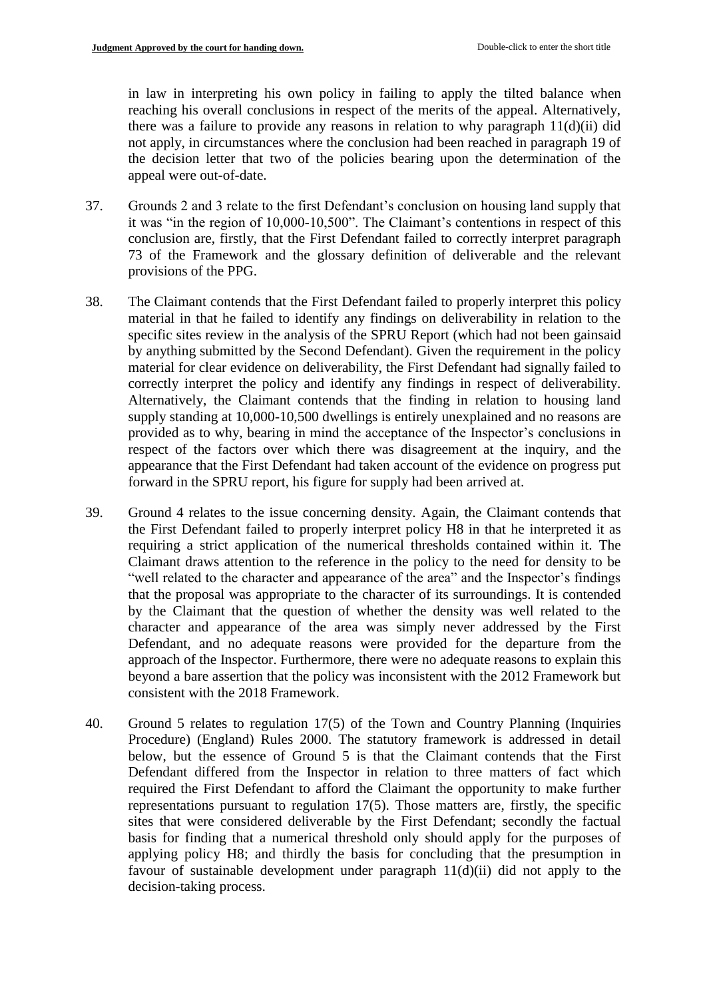in law in interpreting his own policy in failing to apply the tilted balance when reaching his overall conclusions in respect of the merits of the appeal. Alternatively, there was a failure to provide any reasons in relation to why paragraph 11(d)(ii) did not apply, in circumstances where the conclusion had been reached in paragraph 19 of the decision letter that two of the policies bearing upon the determination of the appeal were out-of-date.

- 37. Grounds 2 and 3 relate to the first Defendant's conclusion on housing land supply that it was "in the region of 10,000-10,500". The Claimant's contentions in respect of this conclusion are, firstly, that the First Defendant failed to correctly interpret paragraph 73 of the Framework and the glossary definition of deliverable and the relevant provisions of the PPG.
- 38. The Claimant contends that the First Defendant failed to properly interpret this policy material in that he failed to identify any findings on deliverability in relation to the specific sites review in the analysis of the SPRU Report (which had not been gainsaid by anything submitted by the Second Defendant). Given the requirement in the policy material for clear evidence on deliverability, the First Defendant had signally failed to correctly interpret the policy and identify any findings in respect of deliverability. Alternatively, the Claimant contends that the finding in relation to housing land supply standing at 10,000-10,500 dwellings is entirely unexplained and no reasons are provided as to why, bearing in mind the acceptance of the Inspector's conclusions in respect of the factors over which there was disagreement at the inquiry, and the appearance that the First Defendant had taken account of the evidence on progress put forward in the SPRU report, his figure for supply had been arrived at.
- 39. Ground 4 relates to the issue concerning density. Again, the Claimant contends that the First Defendant failed to properly interpret policy H8 in that he interpreted it as requiring a strict application of the numerical thresholds contained within it. The Claimant draws attention to the reference in the policy to the need for density to be "well related to the character and appearance of the area" and the Inspector's findings that the proposal was appropriate to the character of its surroundings. It is contended by the Claimant that the question of whether the density was well related to the character and appearance of the area was simply never addressed by the First Defendant, and no adequate reasons were provided for the departure from the approach of the Inspector. Furthermore, there were no adequate reasons to explain this beyond a bare assertion that the policy was inconsistent with the 2012 Framework but consistent with the 2018 Framework.
- 40. Ground 5 relates to regulation 17(5) of the Town and Country Planning (Inquiries Procedure) (England) Rules 2000. The statutory framework is addressed in detail below, but the essence of Ground 5 is that the Claimant contends that the First Defendant differed from the Inspector in relation to three matters of fact which required the First Defendant to afford the Claimant the opportunity to make further representations pursuant to regulation 17(5). Those matters are, firstly, the specific sites that were considered deliverable by the First Defendant; secondly the factual basis for finding that a numerical threshold only should apply for the purposes of applying policy H8; and thirdly the basis for concluding that the presumption in favour of sustainable development under paragraph 11(d)(ii) did not apply to the decision-taking process.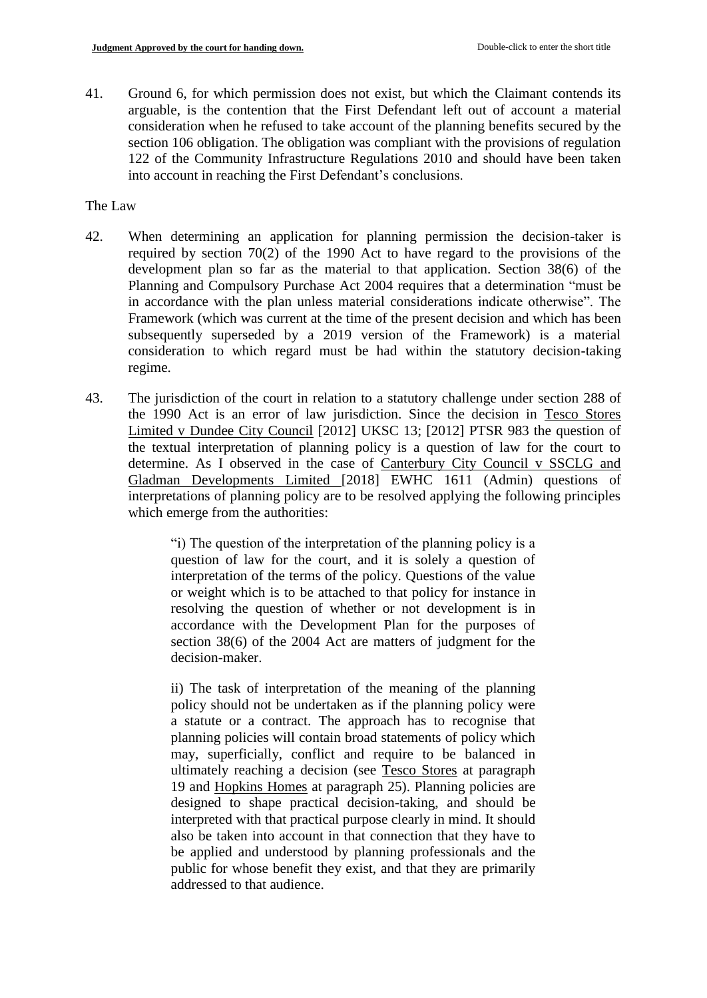41. Ground 6, for which permission does not exist, but which the Claimant contends its arguable, is the contention that the First Defendant left out of account a material consideration when he refused to take account of the planning benefits secured by the section 106 obligation. The obligation was compliant with the provisions of regulation 122 of the Community Infrastructure Regulations 2010 and should have been taken into account in reaching the First Defendant's conclusions.

The Law

- 42. When determining an application for planning permission the decision-taker is required by section 70(2) of the 1990 Act to have regard to the provisions of the development plan so far as the material to that application. Section 38(6) of the Planning and Compulsory Purchase Act 2004 requires that a determination "must be in accordance with the plan unless material considerations indicate otherwise". The Framework (which was current at the time of the present decision and which has been subsequently superseded by a 2019 version of the Framework) is a material consideration to which regard must be had within the statutory decision-taking regime.
- 43. The jurisdiction of the court in relation to a statutory challenge under section 288 of the 1990 Act is an error of law jurisdiction. Since the decision in Tesco Stores Limited v Dundee City Council [2012] UKSC 13; [2012] PTSR 983 the question of the textual interpretation of planning policy is a question of law for the court to determine. As I observed in the case of Canterbury City Council v SSCLG and Gladman Developments Limited [2018] EWHC 1611 (Admin) questions of interpretations of planning policy are to be resolved applying the following principles which emerge from the authorities:

"i) The question of the interpretation of the planning policy is a question of law for the court, and it is solely a question of interpretation of the terms of the policy. Questions of the value or weight which is to be attached to that policy for instance in resolving the question of whether or not development is in accordance with the Development Plan for the purposes of section 38(6) of the 2004 Act are matters of judgment for the decision-maker.

ii) The task of interpretation of the meaning of the planning policy should not be undertaken as if the planning policy were a statute or a contract. The approach has to recognise that planning policies will contain broad statements of policy which may, superficially, conflict and require to be balanced in ultimately reaching a decision (see Tesco Stores at paragraph 19 and Hopkins Homes at paragraph 25). Planning policies are designed to shape practical decision-taking, and should be interpreted with that practical purpose clearly in mind. It should also be taken into account in that connection that they have to be applied and understood by planning professionals and the public for whose benefit they exist, and that they are primarily addressed to that audience.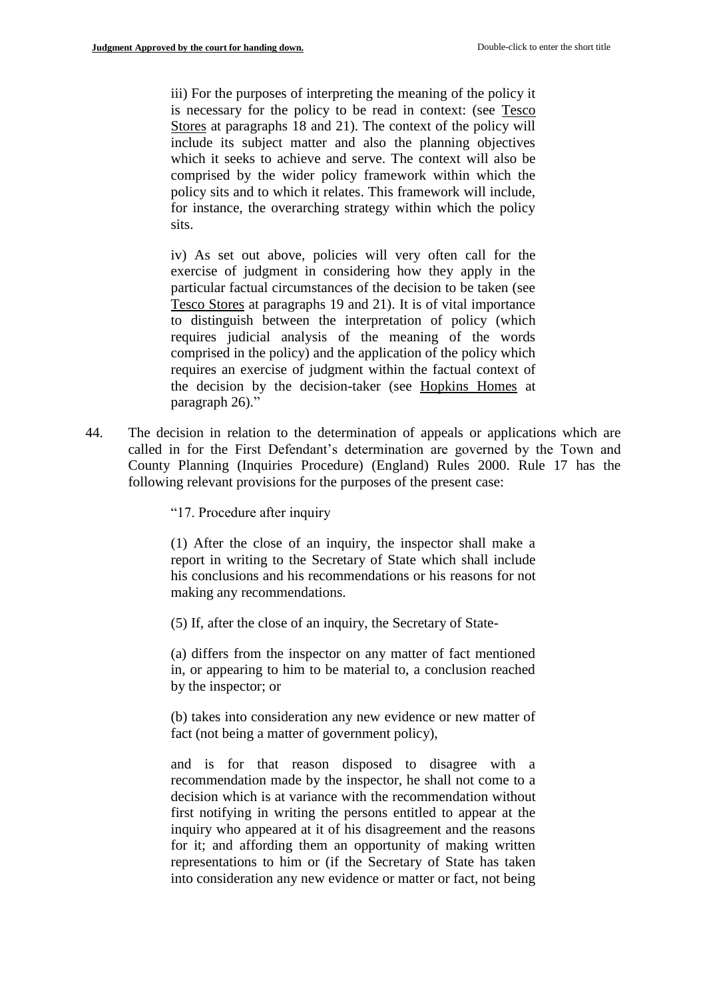iii) For the purposes of interpreting the meaning of the policy it is necessary for the policy to be read in context: (see Tesco Stores at paragraphs 18 and 21). The context of the policy will include its subject matter and also the planning objectives which it seeks to achieve and serve. The context will also be comprised by the wider policy framework within which the policy sits and to which it relates. This framework will include, for instance, the overarching strategy within which the policy sits.

iv) As set out above, policies will very often call for the exercise of judgment in considering how they apply in the particular factual circumstances of the decision to be taken (see Tesco Stores at paragraphs 19 and 21). It is of vital importance to distinguish between the interpretation of policy (which requires judicial analysis of the meaning of the words comprised in the policy) and the application of the policy which requires an exercise of judgment within the factual context of the decision by the decision-taker (see Hopkins Homes at paragraph 26)."

44. The decision in relation to the determination of appeals or applications which are called in for the First Defendant's determination are governed by the Town and County Planning (Inquiries Procedure) (England) Rules 2000. Rule 17 has the following relevant provisions for the purposes of the present case:

"17. Procedure after inquiry

(1) After the close of an inquiry, the inspector shall make a report in writing to the Secretary of State which shall include his conclusions and his recommendations or his reasons for not making any recommendations.

(5) If, after the close of an inquiry, the Secretary of State-

(a) differs from the inspector on any matter of fact mentioned in, or appearing to him to be material to, a conclusion reached by the inspector; or

(b) takes into consideration any new evidence or new matter of fact (not being a matter of government policy),

and is for that reason disposed to disagree with a recommendation made by the inspector, he shall not come to a decision which is at variance with the recommendation without first notifying in writing the persons entitled to appear at the inquiry who appeared at it of his disagreement and the reasons for it; and affording them an opportunity of making written representations to him or (if the Secretary of State has taken into consideration any new evidence or matter or fact, not being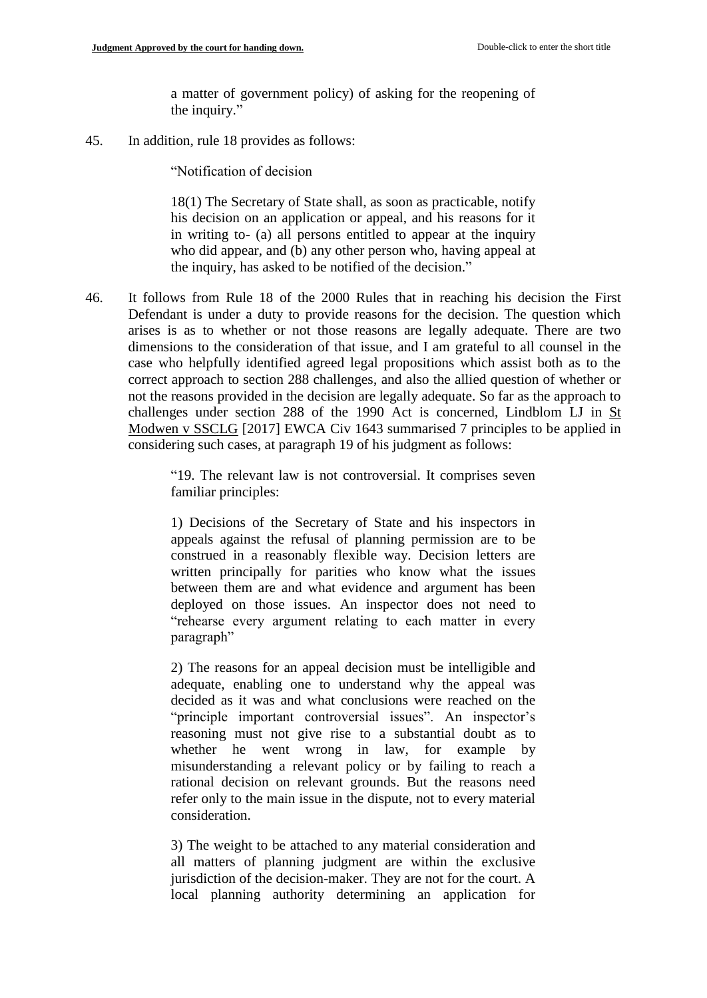a matter of government policy) of asking for the reopening of the inquiry."

45. In addition, rule 18 provides as follows:

"Notification of decision

18(1) The Secretary of State shall, as soon as practicable, notify his decision on an application or appeal, and his reasons for it in writing to- (a) all persons entitled to appear at the inquiry who did appear, and (b) any other person who, having appeal at the inquiry, has asked to be notified of the decision."

46. It follows from Rule 18 of the 2000 Rules that in reaching his decision the First Defendant is under a duty to provide reasons for the decision. The question which arises is as to whether or not those reasons are legally adequate. There are two dimensions to the consideration of that issue, and I am grateful to all counsel in the case who helpfully identified agreed legal propositions which assist both as to the correct approach to section 288 challenges, and also the allied question of whether or not the reasons provided in the decision are legally adequate. So far as the approach to challenges under section 288 of the 1990 Act is concerned, Lindblom LJ in St Modwen v SSCLG [2017] EWCA Civ 1643 summarised 7 principles to be applied in considering such cases, at paragraph 19 of his judgment as follows:

> "19. The relevant law is not controversial. It comprises seven familiar principles:

> 1) Decisions of the Secretary of State and his inspectors in appeals against the refusal of planning permission are to be construed in a reasonably flexible way. Decision letters are written principally for parities who know what the issues between them are and what evidence and argument has been deployed on those issues. An inspector does not need to "rehearse every argument relating to each matter in every paragraph"

> 2) The reasons for an appeal decision must be intelligible and adequate, enabling one to understand why the appeal was decided as it was and what conclusions were reached on the "principle important controversial issues". An inspector's reasoning must not give rise to a substantial doubt as to whether he went wrong in law, for example by misunderstanding a relevant policy or by failing to reach a rational decision on relevant grounds. But the reasons need refer only to the main issue in the dispute, not to every material consideration.

> 3) The weight to be attached to any material consideration and all matters of planning judgment are within the exclusive jurisdiction of the decision-maker. They are not for the court. A local planning authority determining an application for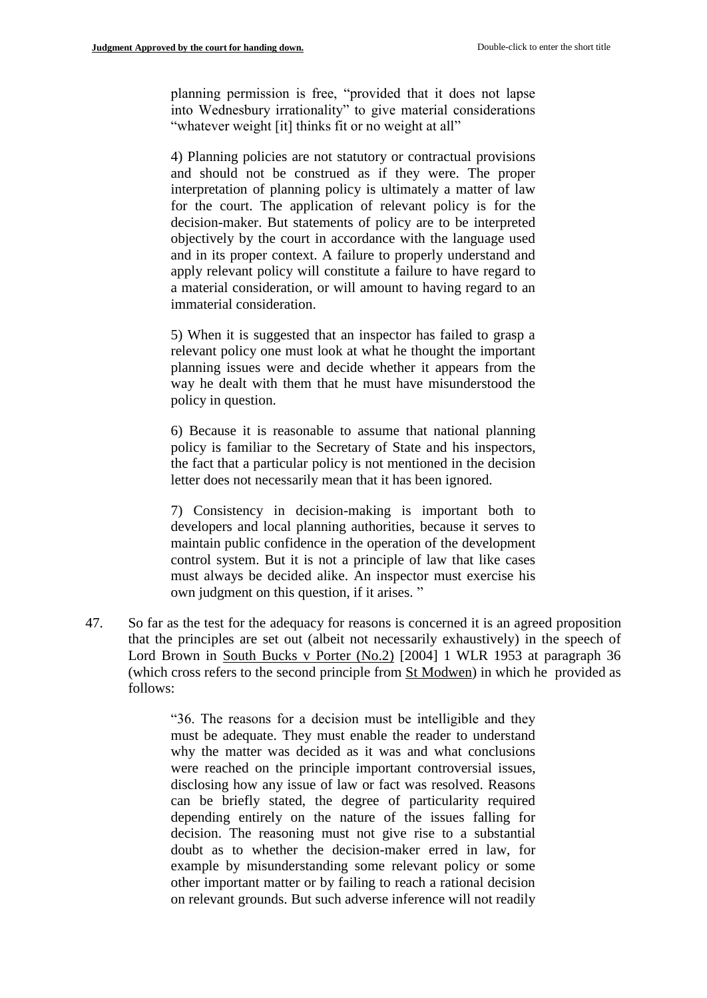planning permission is free, "provided that it does not lapse into Wednesbury irrationality" to give material considerations "whatever weight [it] thinks fit or no weight at all"

4) Planning policies are not statutory or contractual provisions and should not be construed as if they were. The proper interpretation of planning policy is ultimately a matter of law for the court. The application of relevant policy is for the decision-maker. But statements of policy are to be interpreted objectively by the court in accordance with the language used and in its proper context. A failure to properly understand and apply relevant policy will constitute a failure to have regard to a material consideration, or will amount to having regard to an immaterial consideration.

5) When it is suggested that an inspector has failed to grasp a relevant policy one must look at what he thought the important planning issues were and decide whether it appears from the way he dealt with them that he must have misunderstood the policy in question.

6) Because it is reasonable to assume that national planning policy is familiar to the Secretary of State and his inspectors, the fact that a particular policy is not mentioned in the decision letter does not necessarily mean that it has been ignored.

7) Consistency in decision-making is important both to developers and local planning authorities, because it serves to maintain public confidence in the operation of the development control system. But it is not a principle of law that like cases must always be decided alike. An inspector must exercise his own judgment on this question, if it arises. "

47. So far as the test for the adequacy for reasons is concerned it is an agreed proposition that the principles are set out (albeit not necessarily exhaustively) in the speech of Lord Brown in South Bucks v Porter (No.2) [2004] 1 WLR 1953 at paragraph 36 (which cross refers to the second principle from St Modwen) in which he provided as follows:

> "36. The reasons for a decision must be intelligible and they must be adequate. They must enable the reader to understand why the matter was decided as it was and what conclusions were reached on the principle important controversial issues, disclosing how any issue of law or fact was resolved. Reasons can be briefly stated, the degree of particularity required depending entirely on the nature of the issues falling for decision. The reasoning must not give rise to a substantial doubt as to whether the decision-maker erred in law, for example by misunderstanding some relevant policy or some other important matter or by failing to reach a rational decision on relevant grounds. But such adverse inference will not readily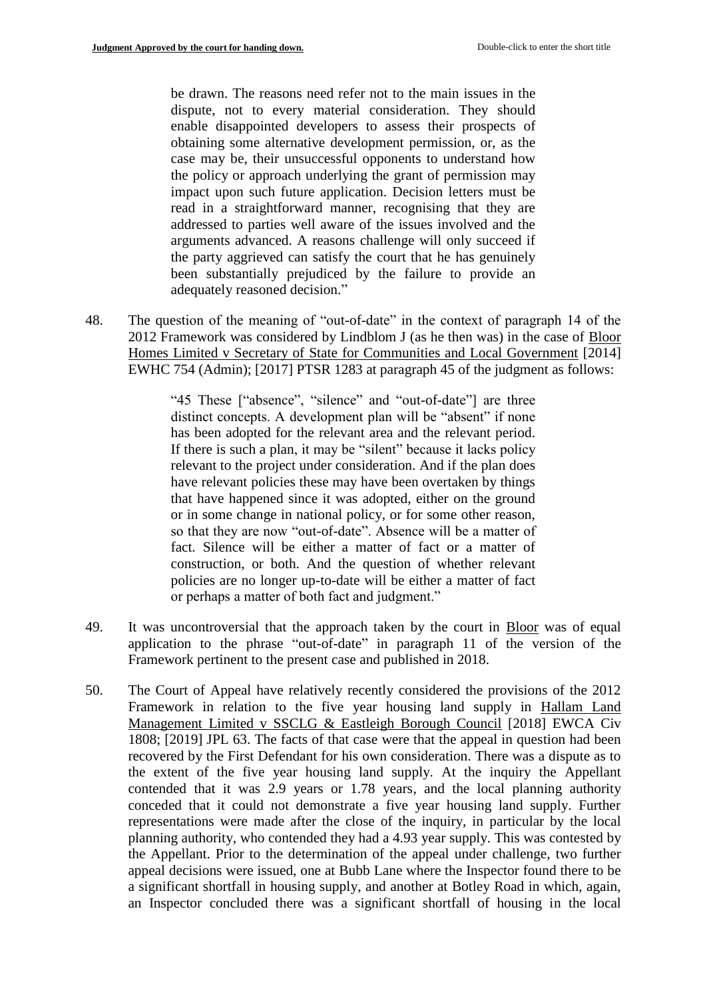be drawn. The reasons need refer not to the main issues in the dispute, not to every material consideration. They should enable disappointed developers to assess their prospects of obtaining some alternative development permission, or, as the case may be, their unsuccessful opponents to understand how the policy or approach underlying the grant of permission may impact upon such future application. Decision letters must be read in a straightforward manner, recognising that they are addressed to parties well aware of the issues involved and the arguments advanced. A reasons challenge will only succeed if the party aggrieved can satisfy the court that he has genuinely been substantially prejudiced by the failure to provide an adequately reasoned decision."

48. The question of the meaning of "out-of-date" in the context of paragraph 14 of the 2012 Framework was considered by Lindblom J (as he then was) in the case of Bloor Homes Limited v Secretary of State for Communities and Local Government [2014] EWHC 754 (Admin); [2017] PTSR 1283 at paragraph 45 of the judgment as follows:

> "45 These ["absence", "silence" and "out-of-date"] are three distinct concepts. A development plan will be "absent" if none has been adopted for the relevant area and the relevant period. If there is such a plan, it may be "silent" because it lacks policy relevant to the project under consideration. And if the plan does have relevant policies these may have been overtaken by things that have happened since it was adopted, either on the ground or in some change in national policy, or for some other reason, so that they are now "out-of-date". Absence will be a matter of fact. Silence will be either a matter of fact or a matter of construction, or both. And the question of whether relevant policies are no longer up-to-date will be either a matter of fact or perhaps a matter of both fact and judgment."

- 49. It was uncontroversial that the approach taken by the court in Bloor was of equal application to the phrase "out-of-date" in paragraph 11 of the version of the Framework pertinent to the present case and published in 2018.
- 50. The Court of Appeal have relatively recently considered the provisions of the 2012 Framework in relation to the five year housing land supply in Hallam Land Management Limited v SSCLG & Eastleigh Borough Council [2018] EWCA Civ 1808; [2019] JPL 63. The facts of that case were that the appeal in question had been recovered by the First Defendant for his own consideration. There was a dispute as to the extent of the five year housing land supply. At the inquiry the Appellant contended that it was 2.9 years or 1.78 years, and the local planning authority conceded that it could not demonstrate a five year housing land supply. Further representations were made after the close of the inquiry, in particular by the local planning authority, who contended they had a 4.93 year supply. This was contested by the Appellant. Prior to the determination of the appeal under challenge, two further appeal decisions were issued, one at Bubb Lane where the Inspector found there to be a significant shortfall in housing supply, and another at Botley Road in which, again, an Inspector concluded there was a significant shortfall of housing in the local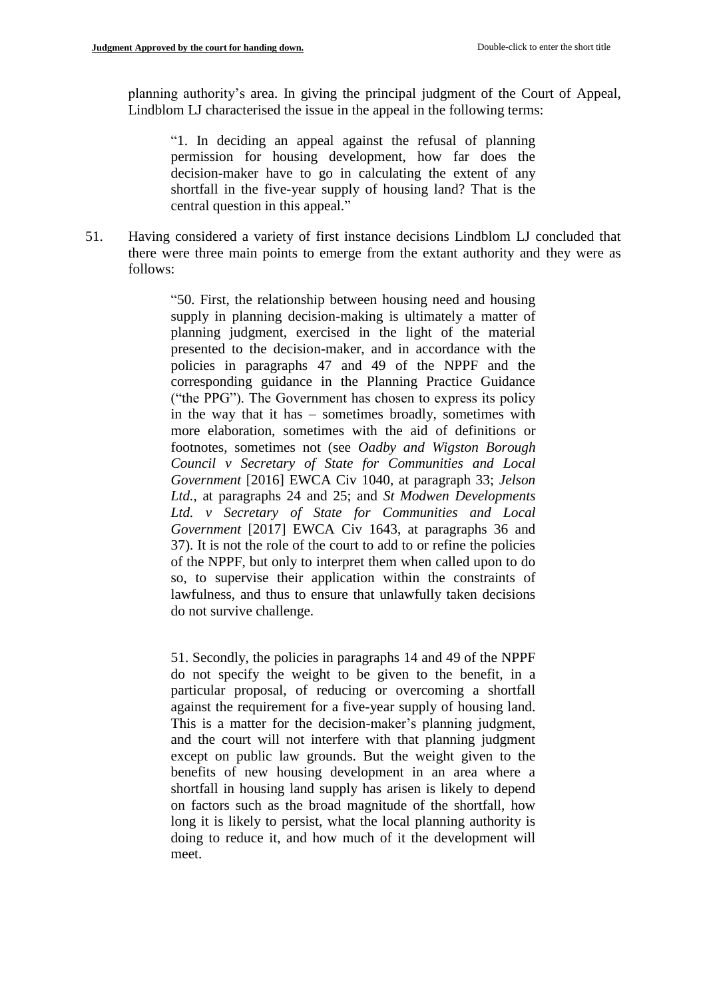planning authority's area. In giving the principal judgment of the Court of Appeal, Lindblom LJ characterised the issue in the appeal in the following terms:

"1. In deciding an appeal against the refusal of planning permission for housing development, how far does the decision-maker have to go in calculating the extent of any shortfall in the five-year supply of housing land? That is the central question in this appeal."

51. Having considered a variety of first instance decisions Lindblom LJ concluded that there were three main points to emerge from the extant authority and they were as follows:

> "50. First, the relationship between housing need and housing supply in planning decision-making is ultimately a matter of planning judgment, exercised in the light of the material presented to the decision-maker, and in accordance with the policies in paragraphs 47 and 49 of the NPPF and the corresponding guidance in the Planning Practice Guidance ("the PPG"). The Government has chosen to express its policy in the way that it has – sometimes broadly, sometimes with more elaboration, sometimes with the aid of definitions or footnotes, sometimes not (see *Oadby and Wigston Borough Council v Secretary of State for Communities and Local Government* [2016] EWCA Civ 1040, at paragraph 33; *Jelson Ltd.*, at paragraphs 24 and 25; and *St Modwen Developments Ltd. v Secretary of State for Communities and Local Government* [2017] EWCA Civ 1643, at paragraphs 36 and 37). It is not the role of the court to add to or refine the policies of the NPPF, but only to interpret them when called upon to do so, to supervise their application within the constraints of lawfulness, and thus to ensure that unlawfully taken decisions do not survive challenge.

> 51. Secondly, the policies in paragraphs 14 and 49 of the NPPF do not specify the weight to be given to the benefit, in a particular proposal, of reducing or overcoming a shortfall against the requirement for a five-year supply of housing land. This is a matter for the decision-maker's planning judgment, and the court will not interfere with that planning judgment except on public law grounds. But the weight given to the benefits of new housing development in an area where a shortfall in housing land supply has arisen is likely to depend on factors such as the broad magnitude of the shortfall, how long it is likely to persist, what the local planning authority is doing to reduce it, and how much of it the development will meet.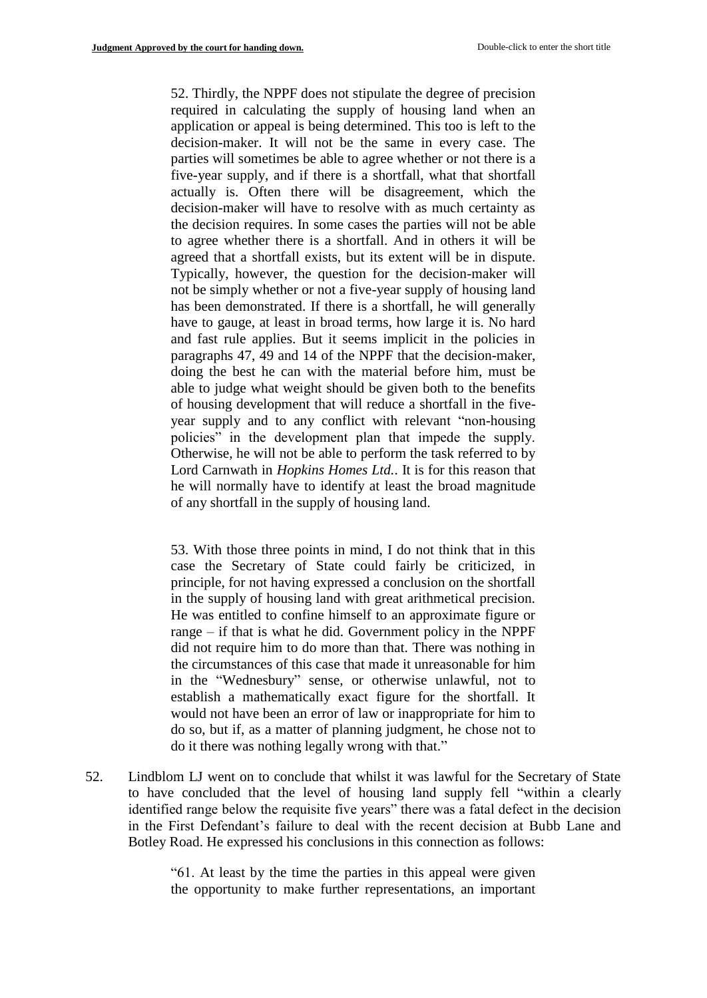52. Thirdly, the NPPF does not stipulate the degree of precision required in calculating the supply of housing land when an application or appeal is being determined. This too is left to the decision-maker. It will not be the same in every case. The parties will sometimes be able to agree whether or not there is a five-year supply, and if there is a shortfall, what that shortfall actually is. Often there will be disagreement, which the decision-maker will have to resolve with as much certainty as the decision requires. In some cases the parties will not be able to agree whether there is a shortfall. And in others it will be agreed that a shortfall exists, but its extent will be in dispute. Typically, however, the question for the decision-maker will not be simply whether or not a five-year supply of housing land has been demonstrated. If there is a shortfall, he will generally have to gauge, at least in broad terms, how large it is. No hard and fast rule applies. But it seems implicit in the policies in paragraphs 47, 49 and 14 of the NPPF that the decision-maker, doing the best he can with the material before him, must be able to judge what weight should be given both to the benefits of housing development that will reduce a shortfall in the fiveyear supply and to any conflict with relevant "non-housing policies" in the development plan that impede the supply. Otherwise, he will not be able to perform the task referred to by Lord Carnwath in *Hopkins Homes Ltd.*. It is for this reason that he will normally have to identify at least the broad magnitude of any shortfall in the supply of housing land.

53. With those three points in mind, I do not think that in this case the Secretary of State could fairly be criticized, in principle, for not having expressed a conclusion on the shortfall in the supply of housing land with great arithmetical precision. He was entitled to confine himself to an approximate figure or range – if that is what he did. Government policy in the NPPF did not require him to do more than that. There was nothing in the circumstances of this case that made it unreasonable for him in the "Wednesbury" sense, or otherwise unlawful, not to establish a mathematically exact figure for the shortfall. It would not have been an error of law or inappropriate for him to do so, but if, as a matter of planning judgment, he chose not to do it there was nothing legally wrong with that."

52. Lindblom LJ went on to conclude that whilst it was lawful for the Secretary of State to have concluded that the level of housing land supply fell "within a clearly identified range below the requisite five years" there was a fatal defect in the decision in the First Defendant's failure to deal with the recent decision at Bubb Lane and Botley Road. He expressed his conclusions in this connection as follows:

> "61. At least by the time the parties in this appeal were given the opportunity to make further representations, an important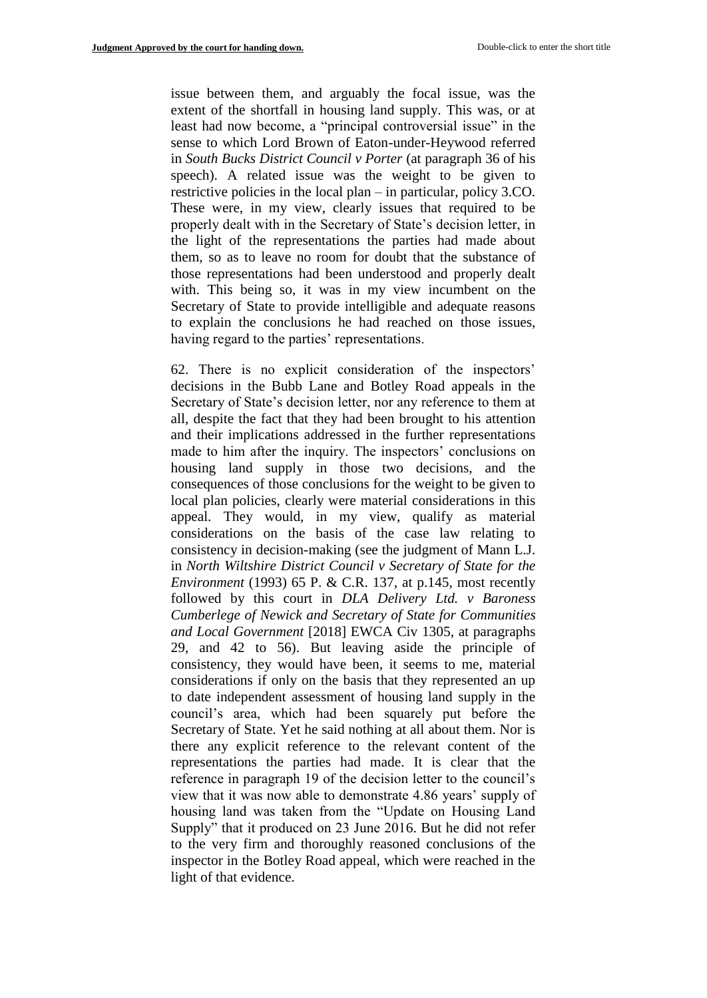issue between them, and arguably the focal issue, was the extent of the shortfall in housing land supply. This was, or at least had now become, a "principal controversial issue" in the sense to which Lord Brown of Eaton-under-Heywood referred in *South Bucks District Council v Porter* (at paragraph 36 of his speech). A related issue was the weight to be given to restrictive policies in the local plan – in particular, policy 3.CO. These were, in my view, clearly issues that required to be properly dealt with in the Secretary of State's decision letter, in the light of the representations the parties had made about them, so as to leave no room for doubt that the substance of those representations had been understood and properly dealt with. This being so, it was in my view incumbent on the Secretary of State to provide intelligible and adequate reasons to explain the conclusions he had reached on those issues, having regard to the parties' representations.

62. There is no explicit consideration of the inspectors' decisions in the Bubb Lane and Botley Road appeals in the Secretary of State's decision letter, nor any reference to them at all, despite the fact that they had been brought to his attention and their implications addressed in the further representations made to him after the inquiry. The inspectors' conclusions on housing land supply in those two decisions, and the consequences of those conclusions for the weight to be given to local plan policies, clearly were material considerations in this appeal. They would, in my view, qualify as material considerations on the basis of the case law relating to consistency in decision-making (see the judgment of Mann L.J. in *North Wiltshire District Council v Secretary of State for the Environment* (1993) 65 P. & C.R. 137, at p.145, most recently followed by this court in *DLA Delivery Ltd. v Baroness Cumberlege of Newick and Secretary of State for Communities and Local Government* [2018] EWCA Civ 1305, at paragraphs 29, and 42 to 56). But leaving aside the principle of consistency, they would have been, it seems to me, material considerations if only on the basis that they represented an up to date independent assessment of housing land supply in the council's area, which had been squarely put before the Secretary of State. Yet he said nothing at all about them. Nor is there any explicit reference to the relevant content of the representations the parties had made. It is clear that the reference in paragraph 19 of the decision letter to the council's view that it was now able to demonstrate 4.86 years' supply of housing land was taken from the "Update on Housing Land Supply" that it produced on 23 June 2016. But he did not refer to the very firm and thoroughly reasoned conclusions of the inspector in the Botley Road appeal, which were reached in the light of that evidence.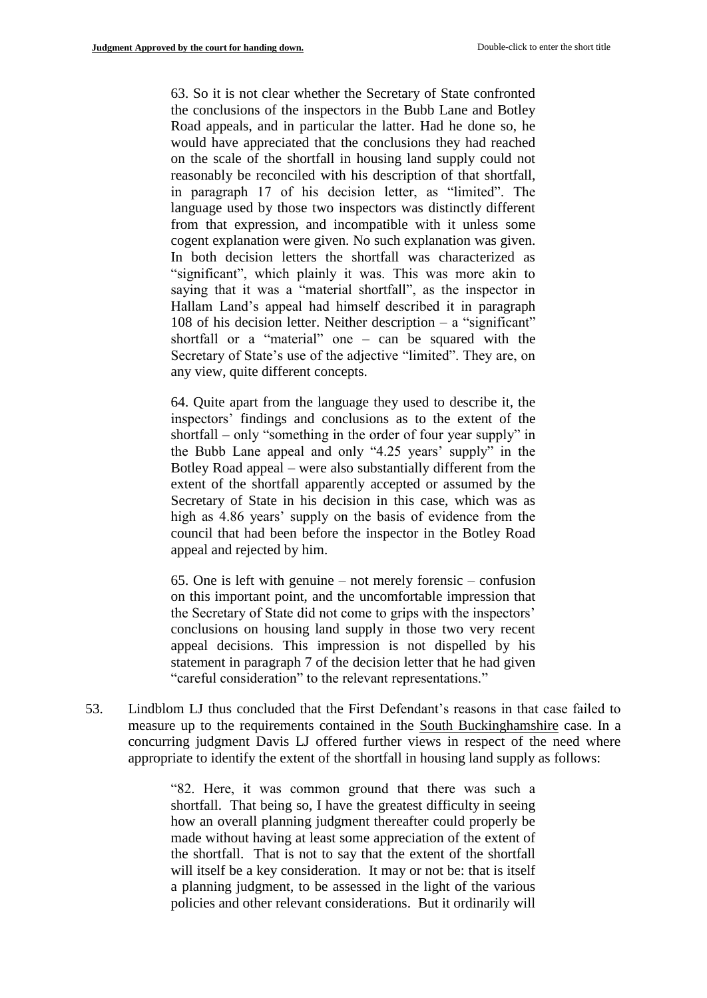63. So it is not clear whether the Secretary of State confronted the conclusions of the inspectors in the Bubb Lane and Botley Road appeals, and in particular the latter. Had he done so, he would have appreciated that the conclusions they had reached on the scale of the shortfall in housing land supply could not reasonably be reconciled with his description of that shortfall, in paragraph 17 of his decision letter, as "limited". The language used by those two inspectors was distinctly different from that expression, and incompatible with it unless some cogent explanation were given. No such explanation was given. In both decision letters the shortfall was characterized as "significant", which plainly it was. This was more akin to saying that it was a "material shortfall", as the inspector in Hallam Land's appeal had himself described it in paragraph 108 of his decision letter. Neither description – a "significant" shortfall or a "material" one – can be squared with the Secretary of State's use of the adjective "limited". They are, on any view, quite different concepts.

64. Quite apart from the language they used to describe it, the inspectors' findings and conclusions as to the extent of the shortfall – only "something in the order of four year supply" in the Bubb Lane appeal and only "4.25 years' supply" in the Botley Road appeal – were also substantially different from the extent of the shortfall apparently accepted or assumed by the Secretary of State in his decision in this case, which was as high as 4.86 years' supply on the basis of evidence from the council that had been before the inspector in the Botley Road appeal and rejected by him.

65. One is left with genuine – not merely forensic – confusion on this important point, and the uncomfortable impression that the Secretary of State did not come to grips with the inspectors' conclusions on housing land supply in those two very recent appeal decisions. This impression is not dispelled by his statement in paragraph 7 of the decision letter that he had given "careful consideration" to the relevant representations."

53. Lindblom LJ thus concluded that the First Defendant's reasons in that case failed to measure up to the requirements contained in the South Buckinghamshire case. In a concurring judgment Davis LJ offered further views in respect of the need where appropriate to identify the extent of the shortfall in housing land supply as follows:

> "82. Here, it was common ground that there was such a shortfall. That being so, I have the greatest difficulty in seeing how an overall planning judgment thereafter could properly be made without having at least some appreciation of the extent of the shortfall. That is not to say that the extent of the shortfall will itself be a key consideration. It may or not be: that is itself a planning judgment, to be assessed in the light of the various policies and other relevant considerations. But it ordinarily will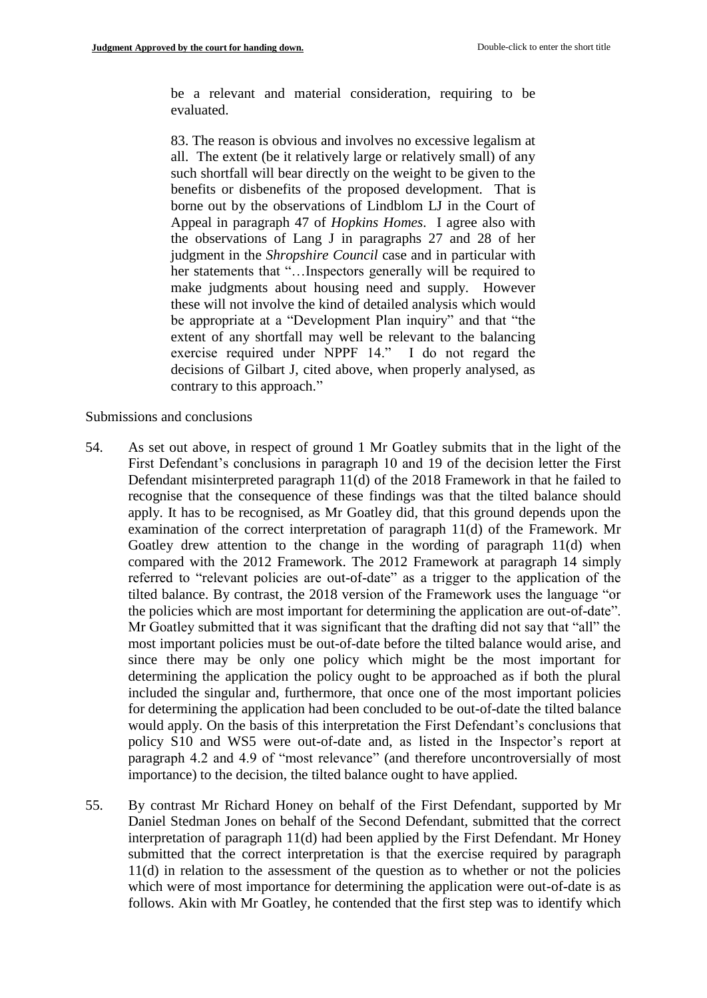be a relevant and material consideration, requiring to be evaluated.

83. The reason is obvious and involves no excessive legalism at all. The extent (be it relatively large or relatively small) of any such shortfall will bear directly on the weight to be given to the benefits or disbenefits of the proposed development. That is borne out by the observations of Lindblom LJ in the Court of Appeal in paragraph 47 of *Hopkins Homes*. I agree also with the observations of Lang J in paragraphs 27 and 28 of her judgment in the *Shropshire Council* case and in particular with her statements that "...Inspectors generally will be required to make judgments about housing need and supply. However these will not involve the kind of detailed analysis which would be appropriate at a "Development Plan inquiry" and that "the extent of any shortfall may well be relevant to the balancing exercise required under NPPF 14." I do not regard the decisions of Gilbart J, cited above, when properly analysed, as contrary to this approach."

Submissions and conclusions

- 54. As set out above, in respect of ground 1 Mr Goatley submits that in the light of the First Defendant's conclusions in paragraph 10 and 19 of the decision letter the First Defendant misinterpreted paragraph 11(d) of the 2018 Framework in that he failed to recognise that the consequence of these findings was that the tilted balance should apply. It has to be recognised, as Mr Goatley did, that this ground depends upon the examination of the correct interpretation of paragraph 11(d) of the Framework. Mr Goatley drew attention to the change in the wording of paragraph 11(d) when compared with the 2012 Framework. The 2012 Framework at paragraph 14 simply referred to "relevant policies are out-of-date" as a trigger to the application of the tilted balance. By contrast, the 2018 version of the Framework uses the language "or the policies which are most important for determining the application are out-of-date". Mr Goatley submitted that it was significant that the drafting did not say that "all" the most important policies must be out-of-date before the tilted balance would arise, and since there may be only one policy which might be the most important for determining the application the policy ought to be approached as if both the plural included the singular and, furthermore, that once one of the most important policies for determining the application had been concluded to be out-of-date the tilted balance would apply. On the basis of this interpretation the First Defendant's conclusions that policy S10 and WS5 were out-of-date and, as listed in the Inspector's report at paragraph 4.2 and 4.9 of "most relevance" (and therefore uncontroversially of most importance) to the decision, the tilted balance ought to have applied.
- 55. By contrast Mr Richard Honey on behalf of the First Defendant, supported by Mr Daniel Stedman Jones on behalf of the Second Defendant, submitted that the correct interpretation of paragraph 11(d) had been applied by the First Defendant. Mr Honey submitted that the correct interpretation is that the exercise required by paragraph 11(d) in relation to the assessment of the question as to whether or not the policies which were of most importance for determining the application were out-of-date is as follows. Akin with Mr Goatley, he contended that the first step was to identify which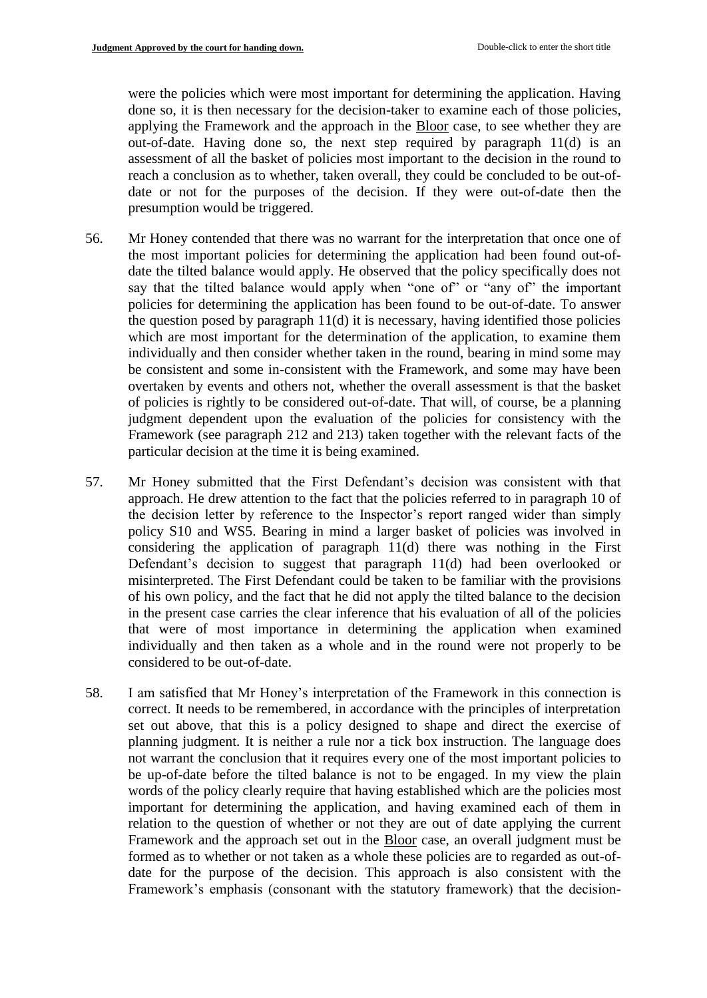were the policies which were most important for determining the application. Having done so, it is then necessary for the decision-taker to examine each of those policies, applying the Framework and the approach in the Bloor case, to see whether they are out-of-date. Having done so, the next step required by paragraph 11(d) is an assessment of all the basket of policies most important to the decision in the round to reach a conclusion as to whether, taken overall, they could be concluded to be out-ofdate or not for the purposes of the decision. If they were out-of-date then the presumption would be triggered.

- 56. Mr Honey contended that there was no warrant for the interpretation that once one of the most important policies for determining the application had been found out-ofdate the tilted balance would apply. He observed that the policy specifically does not say that the tilted balance would apply when "one of" or "any of" the important policies for determining the application has been found to be out-of-date. To answer the question posed by paragraph 11(d) it is necessary, having identified those policies which are most important for the determination of the application, to examine them individually and then consider whether taken in the round, bearing in mind some may be consistent and some in-consistent with the Framework, and some may have been overtaken by events and others not, whether the overall assessment is that the basket of policies is rightly to be considered out-of-date. That will, of course, be a planning judgment dependent upon the evaluation of the policies for consistency with the Framework (see paragraph 212 and 213) taken together with the relevant facts of the particular decision at the time it is being examined.
- 57. Mr Honey submitted that the First Defendant's decision was consistent with that approach. He drew attention to the fact that the policies referred to in paragraph 10 of the decision letter by reference to the Inspector's report ranged wider than simply policy S10 and WS5. Bearing in mind a larger basket of policies was involved in considering the application of paragraph 11(d) there was nothing in the First Defendant's decision to suggest that paragraph 11(d) had been overlooked or misinterpreted. The First Defendant could be taken to be familiar with the provisions of his own policy, and the fact that he did not apply the tilted balance to the decision in the present case carries the clear inference that his evaluation of all of the policies that were of most importance in determining the application when examined individually and then taken as a whole and in the round were not properly to be considered to be out-of-date.
- 58. I am satisfied that Mr Honey's interpretation of the Framework in this connection is correct. It needs to be remembered, in accordance with the principles of interpretation set out above, that this is a policy designed to shape and direct the exercise of planning judgment. It is neither a rule nor a tick box instruction. The language does not warrant the conclusion that it requires every one of the most important policies to be up-of-date before the tilted balance is not to be engaged. In my view the plain words of the policy clearly require that having established which are the policies most important for determining the application, and having examined each of them in relation to the question of whether or not they are out of date applying the current Framework and the approach set out in the Bloor case, an overall judgment must be formed as to whether or not taken as a whole these policies are to regarded as out-ofdate for the purpose of the decision. This approach is also consistent with the Framework's emphasis (consonant with the statutory framework) that the decision-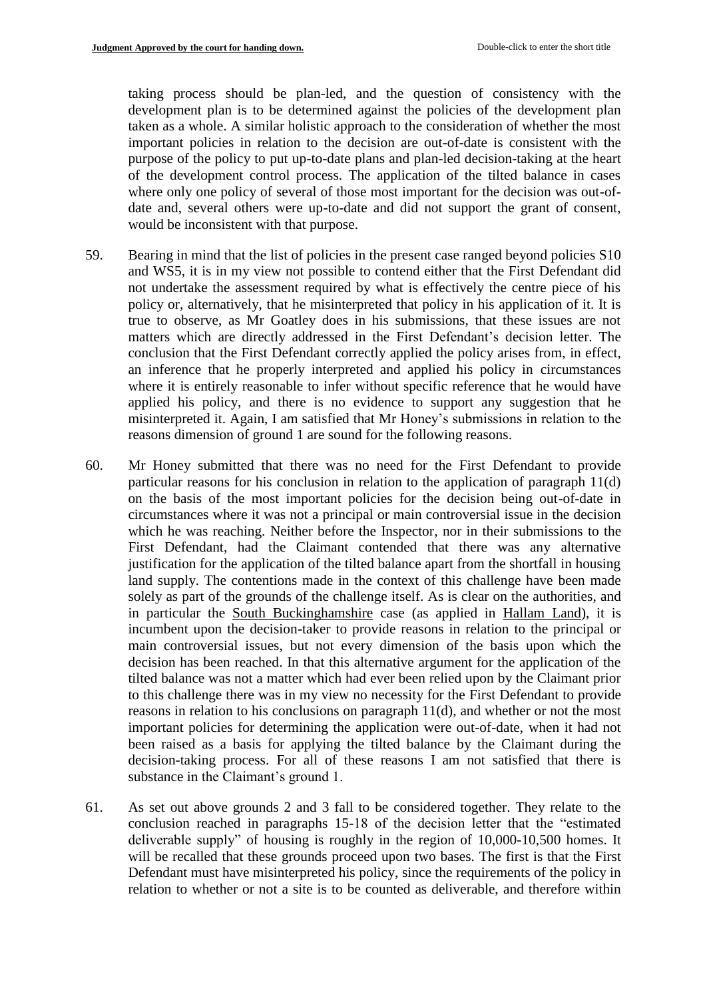taking process should be plan-led, and the question of consistency with the development plan is to be determined against the policies of the development plan taken as a whole. A similar holistic approach to the consideration of whether the most important policies in relation to the decision are out-of-date is consistent with the purpose of the policy to put up-to-date plans and plan-led decision-taking at the heart of the development control process. The application of the tilted balance in cases where only one policy of several of those most important for the decision was out-ofdate and, several others were up-to-date and did not support the grant of consent, would be inconsistent with that purpose.

- 59. Bearing in mind that the list of policies in the present case ranged beyond policies S10 and WS5, it is in my view not possible to contend either that the First Defendant did not undertake the assessment required by what is effectively the centre piece of his policy or, alternatively, that he misinterpreted that policy in his application of it. It is true to observe, as Mr Goatley does in his submissions, that these issues are not matters which are directly addressed in the First Defendant's decision letter. The conclusion that the First Defendant correctly applied the policy arises from, in effect, an inference that he properly interpreted and applied his policy in circumstances where it is entirely reasonable to infer without specific reference that he would have applied his policy, and there is no evidence to support any suggestion that he misinterpreted it. Again, I am satisfied that Mr Honey's submissions in relation to the reasons dimension of ground 1 are sound for the following reasons.
- 60. Mr Honey submitted that there was no need for the First Defendant to provide particular reasons for his conclusion in relation to the application of paragraph 11(d) on the basis of the most important policies for the decision being out-of-date in circumstances where it was not a principal or main controversial issue in the decision which he was reaching. Neither before the Inspector, nor in their submissions to the First Defendant, had the Claimant contended that there was any alternative justification for the application of the tilted balance apart from the shortfall in housing land supply. The contentions made in the context of this challenge have been made solely as part of the grounds of the challenge itself. As is clear on the authorities, and in particular the South Buckinghamshire case (as applied in Hallam Land), it is incumbent upon the decision-taker to provide reasons in relation to the principal or main controversial issues, but not every dimension of the basis upon which the decision has been reached. In that this alternative argument for the application of the tilted balance was not a matter which had ever been relied upon by the Claimant prior to this challenge there was in my view no necessity for the First Defendant to provide reasons in relation to his conclusions on paragraph 11(d), and whether or not the most important policies for determining the application were out-of-date, when it had not been raised as a basis for applying the tilted balance by the Claimant during the decision-taking process. For all of these reasons I am not satisfied that there is substance in the Claimant's ground 1.
- 61. As set out above grounds 2 and 3 fall to be considered together. They relate to the conclusion reached in paragraphs 15-18 of the decision letter that the "estimated deliverable supply" of housing is roughly in the region of 10,000-10,500 homes. It will be recalled that these grounds proceed upon two bases. The first is that the First Defendant must have misinterpreted his policy, since the requirements of the policy in relation to whether or not a site is to be counted as deliverable, and therefore within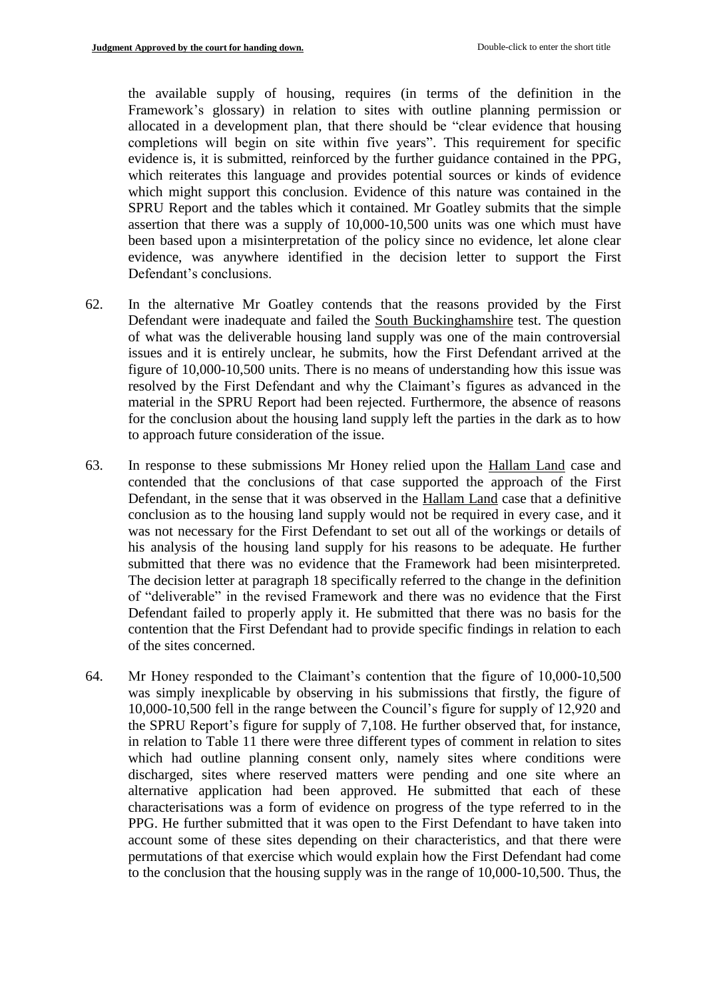the available supply of housing, requires (in terms of the definition in the Framework's glossary) in relation to sites with outline planning permission or allocated in a development plan, that there should be "clear evidence that housing completions will begin on site within five years". This requirement for specific evidence is, it is submitted, reinforced by the further guidance contained in the PPG, which reiterates this language and provides potential sources or kinds of evidence which might support this conclusion. Evidence of this nature was contained in the SPRU Report and the tables which it contained. Mr Goatley submits that the simple assertion that there was a supply of 10,000-10,500 units was one which must have been based upon a misinterpretation of the policy since no evidence, let alone clear evidence, was anywhere identified in the decision letter to support the First Defendant's conclusions.

- 62. In the alternative Mr Goatley contends that the reasons provided by the First Defendant were inadequate and failed the South Buckinghamshire test. The question of what was the deliverable housing land supply was one of the main controversial issues and it is entirely unclear, he submits, how the First Defendant arrived at the figure of 10,000-10,500 units. There is no means of understanding how this issue was resolved by the First Defendant and why the Claimant's figures as advanced in the material in the SPRU Report had been rejected. Furthermore, the absence of reasons for the conclusion about the housing land supply left the parties in the dark as to how to approach future consideration of the issue.
- 63. In response to these submissions Mr Honey relied upon the Hallam Land case and contended that the conclusions of that case supported the approach of the First Defendant, in the sense that it was observed in the Hallam Land case that a definitive conclusion as to the housing land supply would not be required in every case, and it was not necessary for the First Defendant to set out all of the workings or details of his analysis of the housing land supply for his reasons to be adequate. He further submitted that there was no evidence that the Framework had been misinterpreted. The decision letter at paragraph 18 specifically referred to the change in the definition of "deliverable" in the revised Framework and there was no evidence that the First Defendant failed to properly apply it. He submitted that there was no basis for the contention that the First Defendant had to provide specific findings in relation to each of the sites concerned.
- 64. Mr Honey responded to the Claimant's contention that the figure of 10,000-10,500 was simply inexplicable by observing in his submissions that firstly, the figure of 10,000-10,500 fell in the range between the Council's figure for supply of 12,920 and the SPRU Report's figure for supply of 7,108. He further observed that, for instance, in relation to Table 11 there were three different types of comment in relation to sites which had outline planning consent only, namely sites where conditions were discharged, sites where reserved matters were pending and one site where an alternative application had been approved. He submitted that each of these characterisations was a form of evidence on progress of the type referred to in the PPG. He further submitted that it was open to the First Defendant to have taken into account some of these sites depending on their characteristics, and that there were permutations of that exercise which would explain how the First Defendant had come to the conclusion that the housing supply was in the range of 10,000-10,500. Thus, the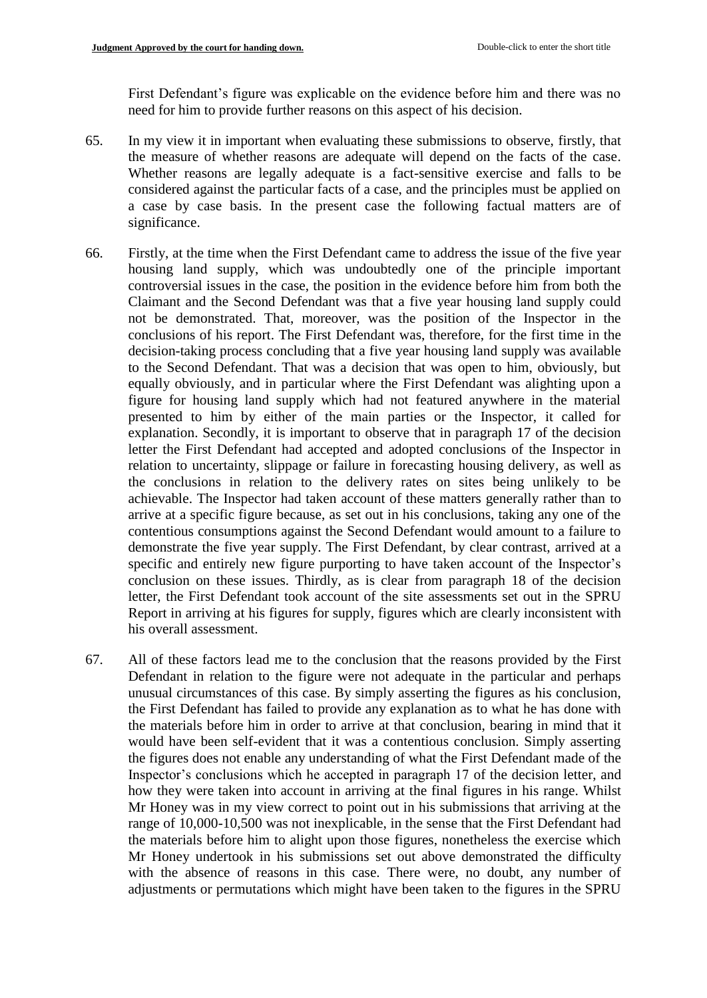First Defendant's figure was explicable on the evidence before him and there was no need for him to provide further reasons on this aspect of his decision.

- 65. In my view it in important when evaluating these submissions to observe, firstly, that the measure of whether reasons are adequate will depend on the facts of the case. Whether reasons are legally adequate is a fact-sensitive exercise and falls to be considered against the particular facts of a case, and the principles must be applied on a case by case basis. In the present case the following factual matters are of significance.
- 66. Firstly, at the time when the First Defendant came to address the issue of the five year housing land supply, which was undoubtedly one of the principle important controversial issues in the case, the position in the evidence before him from both the Claimant and the Second Defendant was that a five year housing land supply could not be demonstrated. That, moreover, was the position of the Inspector in the conclusions of his report. The First Defendant was, therefore, for the first time in the decision-taking process concluding that a five year housing land supply was available to the Second Defendant. That was a decision that was open to him, obviously, but equally obviously, and in particular where the First Defendant was alighting upon a figure for housing land supply which had not featured anywhere in the material presented to him by either of the main parties or the Inspector, it called for explanation. Secondly, it is important to observe that in paragraph 17 of the decision letter the First Defendant had accepted and adopted conclusions of the Inspector in relation to uncertainty, slippage or failure in forecasting housing delivery, as well as the conclusions in relation to the delivery rates on sites being unlikely to be achievable. The Inspector had taken account of these matters generally rather than to arrive at a specific figure because, as set out in his conclusions, taking any one of the contentious consumptions against the Second Defendant would amount to a failure to demonstrate the five year supply. The First Defendant, by clear contrast, arrived at a specific and entirely new figure purporting to have taken account of the Inspector's conclusion on these issues. Thirdly, as is clear from paragraph 18 of the decision letter, the First Defendant took account of the site assessments set out in the SPRU Report in arriving at his figures for supply, figures which are clearly inconsistent with his overall assessment.
- 67. All of these factors lead me to the conclusion that the reasons provided by the First Defendant in relation to the figure were not adequate in the particular and perhaps unusual circumstances of this case. By simply asserting the figures as his conclusion, the First Defendant has failed to provide any explanation as to what he has done with the materials before him in order to arrive at that conclusion, bearing in mind that it would have been self-evident that it was a contentious conclusion. Simply asserting the figures does not enable any understanding of what the First Defendant made of the Inspector's conclusions which he accepted in paragraph 17 of the decision letter, and how they were taken into account in arriving at the final figures in his range. Whilst Mr Honey was in my view correct to point out in his submissions that arriving at the range of 10,000-10,500 was not inexplicable, in the sense that the First Defendant had the materials before him to alight upon those figures, nonetheless the exercise which Mr Honey undertook in his submissions set out above demonstrated the difficulty with the absence of reasons in this case. There were, no doubt, any number of adjustments or permutations which might have been taken to the figures in the SPRU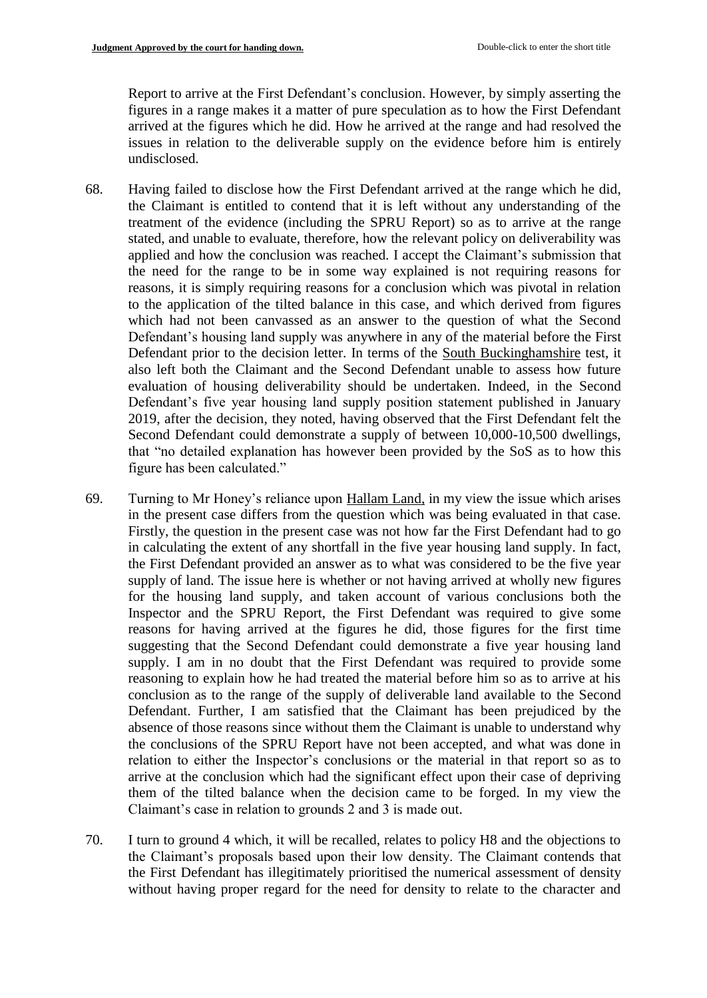Report to arrive at the First Defendant's conclusion. However, by simply asserting the figures in a range makes it a matter of pure speculation as to how the First Defendant arrived at the figures which he did. How he arrived at the range and had resolved the issues in relation to the deliverable supply on the evidence before him is entirely undisclosed.

- 68. Having failed to disclose how the First Defendant arrived at the range which he did, the Claimant is entitled to contend that it is left without any understanding of the treatment of the evidence (including the SPRU Report) so as to arrive at the range stated, and unable to evaluate, therefore, how the relevant policy on deliverability was applied and how the conclusion was reached. I accept the Claimant's submission that the need for the range to be in some way explained is not requiring reasons for reasons, it is simply requiring reasons for a conclusion which was pivotal in relation to the application of the tilted balance in this case, and which derived from figures which had not been canvassed as an answer to the question of what the Second Defendant's housing land supply was anywhere in any of the material before the First Defendant prior to the decision letter. In terms of the South Buckinghamshire test, it also left both the Claimant and the Second Defendant unable to assess how future evaluation of housing deliverability should be undertaken. Indeed, in the Second Defendant's five year housing land supply position statement published in January 2019, after the decision, they noted, having observed that the First Defendant felt the Second Defendant could demonstrate a supply of between 10,000-10,500 dwellings, that "no detailed explanation has however been provided by the SoS as to how this figure has been calculated."
- 69. Turning to Mr Honey's reliance upon Hallam Land, in my view the issue which arises in the present case differs from the question which was being evaluated in that case. Firstly, the question in the present case was not how far the First Defendant had to go in calculating the extent of any shortfall in the five year housing land supply. In fact, the First Defendant provided an answer as to what was considered to be the five year supply of land. The issue here is whether or not having arrived at wholly new figures for the housing land supply, and taken account of various conclusions both the Inspector and the SPRU Report, the First Defendant was required to give some reasons for having arrived at the figures he did, those figures for the first time suggesting that the Second Defendant could demonstrate a five year housing land supply. I am in no doubt that the First Defendant was required to provide some reasoning to explain how he had treated the material before him so as to arrive at his conclusion as to the range of the supply of deliverable land available to the Second Defendant. Further, I am satisfied that the Claimant has been prejudiced by the absence of those reasons since without them the Claimant is unable to understand why the conclusions of the SPRU Report have not been accepted, and what was done in relation to either the Inspector's conclusions or the material in that report so as to arrive at the conclusion which had the significant effect upon their case of depriving them of the tilted balance when the decision came to be forged. In my view the Claimant's case in relation to grounds 2 and 3 is made out.
- 70. I turn to ground 4 which, it will be recalled, relates to policy H8 and the objections to the Claimant's proposals based upon their low density. The Claimant contends that the First Defendant has illegitimately prioritised the numerical assessment of density without having proper regard for the need for density to relate to the character and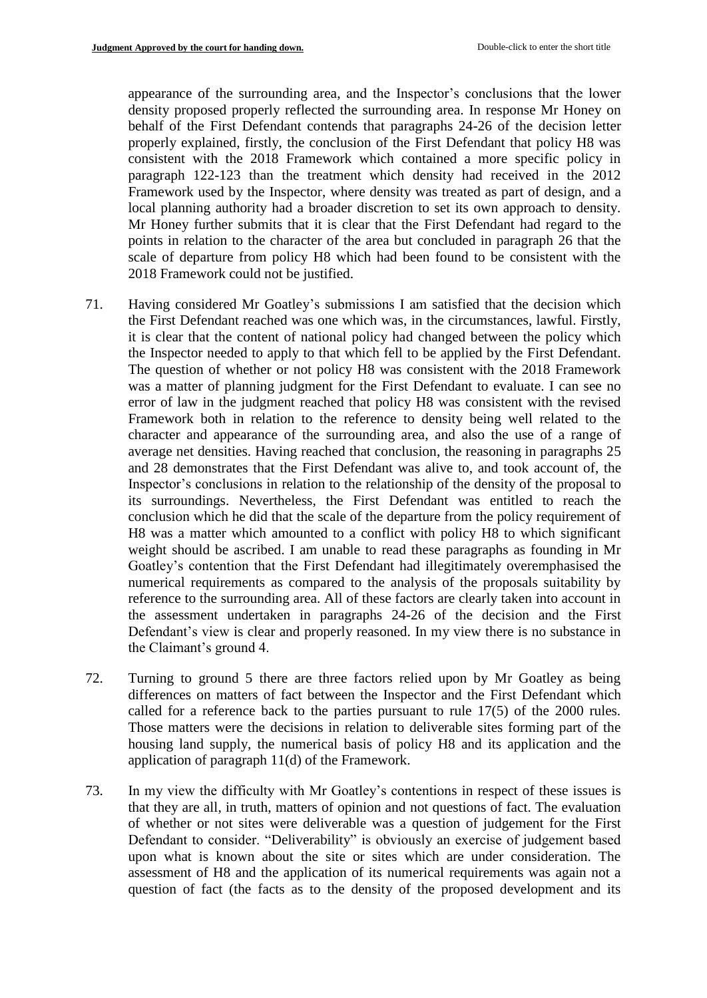appearance of the surrounding area, and the Inspector's conclusions that the lower density proposed properly reflected the surrounding area. In response Mr Honey on behalf of the First Defendant contends that paragraphs 24-26 of the decision letter properly explained, firstly, the conclusion of the First Defendant that policy H8 was consistent with the 2018 Framework which contained a more specific policy in paragraph 122-123 than the treatment which density had received in the 2012 Framework used by the Inspector, where density was treated as part of design, and a local planning authority had a broader discretion to set its own approach to density. Mr Honey further submits that it is clear that the First Defendant had regard to the points in relation to the character of the area but concluded in paragraph 26 that the scale of departure from policy H8 which had been found to be consistent with the 2018 Framework could not be justified.

- 71. Having considered Mr Goatley's submissions I am satisfied that the decision which the First Defendant reached was one which was, in the circumstances, lawful. Firstly, it is clear that the content of national policy had changed between the policy which the Inspector needed to apply to that which fell to be applied by the First Defendant. The question of whether or not policy H8 was consistent with the 2018 Framework was a matter of planning judgment for the First Defendant to evaluate. I can see no error of law in the judgment reached that policy H8 was consistent with the revised Framework both in relation to the reference to density being well related to the character and appearance of the surrounding area, and also the use of a range of average net densities. Having reached that conclusion, the reasoning in paragraphs 25 and 28 demonstrates that the First Defendant was alive to, and took account of, the Inspector's conclusions in relation to the relationship of the density of the proposal to its surroundings. Nevertheless, the First Defendant was entitled to reach the conclusion which he did that the scale of the departure from the policy requirement of H8 was a matter which amounted to a conflict with policy H8 to which significant weight should be ascribed. I am unable to read these paragraphs as founding in Mr Goatley's contention that the First Defendant had illegitimately overemphasised the numerical requirements as compared to the analysis of the proposals suitability by reference to the surrounding area. All of these factors are clearly taken into account in the assessment undertaken in paragraphs 24-26 of the decision and the First Defendant's view is clear and properly reasoned. In my view there is no substance in the Claimant's ground 4.
- 72. Turning to ground 5 there are three factors relied upon by Mr Goatley as being differences on matters of fact between the Inspector and the First Defendant which called for a reference back to the parties pursuant to rule 17(5) of the 2000 rules. Those matters were the decisions in relation to deliverable sites forming part of the housing land supply, the numerical basis of policy H8 and its application and the application of paragraph 11(d) of the Framework.
- 73. In my view the difficulty with Mr Goatley's contentions in respect of these issues is that they are all, in truth, matters of opinion and not questions of fact. The evaluation of whether or not sites were deliverable was a question of judgement for the First Defendant to consider. "Deliverability" is obviously an exercise of judgement based upon what is known about the site or sites which are under consideration. The assessment of H8 and the application of its numerical requirements was again not a question of fact (the facts as to the density of the proposed development and its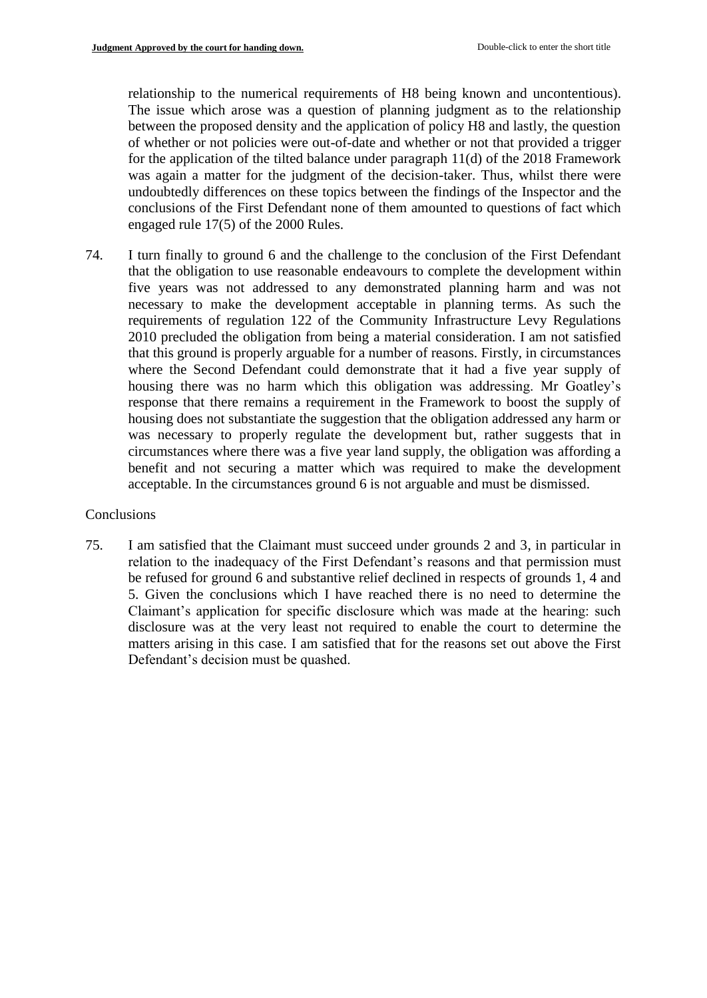relationship to the numerical requirements of H8 being known and uncontentious). The issue which arose was a question of planning judgment as to the relationship between the proposed density and the application of policy H8 and lastly, the question of whether or not policies were out-of-date and whether or not that provided a trigger for the application of the tilted balance under paragraph 11(d) of the 2018 Framework was again a matter for the judgment of the decision-taker. Thus, whilst there were undoubtedly differences on these topics between the findings of the Inspector and the conclusions of the First Defendant none of them amounted to questions of fact which engaged rule 17(5) of the 2000 Rules.

74. I turn finally to ground 6 and the challenge to the conclusion of the First Defendant that the obligation to use reasonable endeavours to complete the development within five years was not addressed to any demonstrated planning harm and was not necessary to make the development acceptable in planning terms. As such the requirements of regulation 122 of the Community Infrastructure Levy Regulations 2010 precluded the obligation from being a material consideration. I am not satisfied that this ground is properly arguable for a number of reasons. Firstly, in circumstances where the Second Defendant could demonstrate that it had a five year supply of housing there was no harm which this obligation was addressing. Mr Goatley's response that there remains a requirement in the Framework to boost the supply of housing does not substantiate the suggestion that the obligation addressed any harm or was necessary to properly regulate the development but, rather suggests that in circumstances where there was a five year land supply, the obligation was affording a benefit and not securing a matter which was required to make the development acceptable. In the circumstances ground 6 is not arguable and must be dismissed.

#### **Conclusions**

75. I am satisfied that the Claimant must succeed under grounds 2 and 3, in particular in relation to the inadequacy of the First Defendant's reasons and that permission must be refused for ground 6 and substantive relief declined in respects of grounds 1, 4 and 5. Given the conclusions which I have reached there is no need to determine the Claimant's application for specific disclosure which was made at the hearing: such disclosure was at the very least not required to enable the court to determine the matters arising in this case. I am satisfied that for the reasons set out above the First Defendant's decision must be quashed.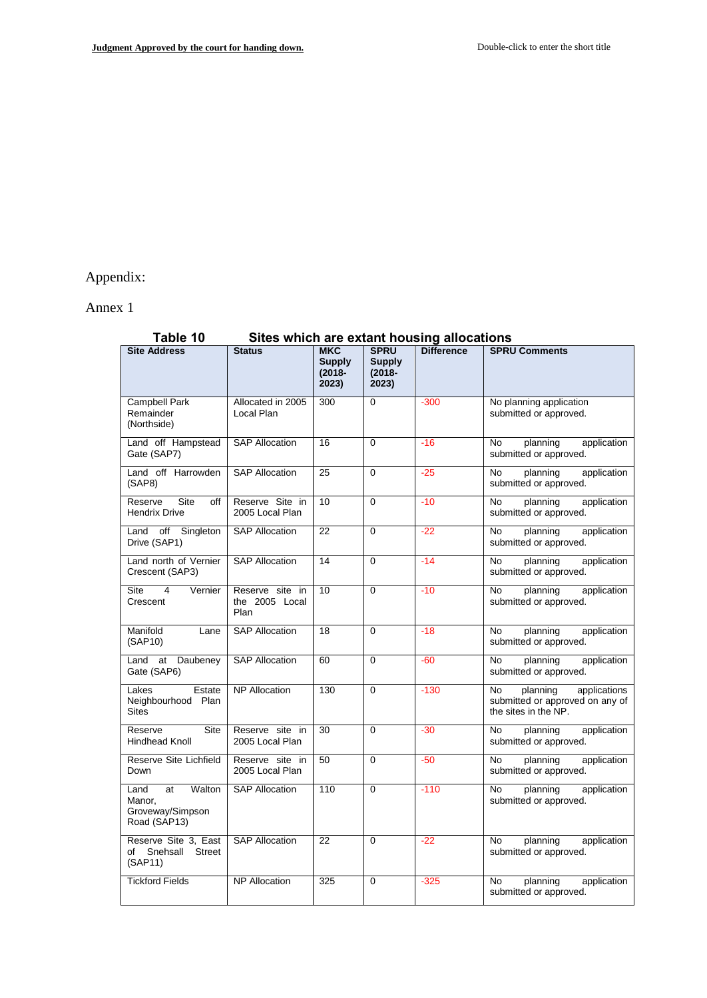# Appendix:

Annex 1

| Table 10<br>Sites which are extant housing allocations             |                                           |                                                   |                                                    |                   |                                                                                           |  |
|--------------------------------------------------------------------|-------------------------------------------|---------------------------------------------------|----------------------------------------------------|-------------------|-------------------------------------------------------------------------------------------|--|
| <b>Site Address</b>                                                | <b>Status</b>                             | <b>MKC</b><br><b>Supply</b><br>$(2018 -$<br>2023) | <b>SPRU</b><br><b>Supply</b><br>$(2018 -$<br>2023) | <b>Difference</b> | <b>SPRU Comments</b>                                                                      |  |
| <b>Campbell Park</b><br>Remainder<br>(Northside)                   | Allocated in 2005<br>Local Plan           | 300                                               | $\Omega$                                           | $-300$            | No planning application<br>submitted or approved.                                         |  |
| Land off Hampstead<br>Gate (SAP7)                                  | <b>SAP Allocation</b>                     | 16                                                | $\Omega$                                           | $-16$             | application<br>No<br>planning<br>submitted or approved.                                   |  |
| Land off Harrowden<br>(SAP8)                                       | <b>SAP Allocation</b>                     | 25                                                | $\Omega$                                           | $-25$             | application<br>No<br>planning<br>submitted or approved.                                   |  |
| Site<br>Reserve<br>off<br><b>Hendrix Drive</b>                     | Reserve Site in<br>2005 Local Plan        | 10                                                | $\Omega$                                           | $-10$             | No<br>application<br>planning<br>submitted or approved.                                   |  |
| off<br>Singleton<br>Land<br>Drive (SAP1)                           | <b>SAP Allocation</b>                     | 22                                                | $\Omega$                                           | $-22$             | application<br>No<br>planning<br>submitted or approved.                                   |  |
| Land north of Vernier<br>Crescent (SAP3)                           | <b>SAP Allocation</b>                     | 14                                                | $\Omega$                                           | $-14$             | <b>No</b><br>planning<br>application<br>submitted or approved.                            |  |
| <b>Site</b><br>4<br>Vernier<br>Crescent                            | Reserve site in<br>the 2005 Local<br>Plan | 10                                                | $\Omega$                                           | $-10$             | application<br>No<br>planning<br>submitted or approved.                                   |  |
| Manifold<br>Lane<br>(SAP10)                                        | <b>SAP Allocation</b>                     | 18                                                | $\Omega$                                           | $-18$             | application<br>No<br>planning<br>submitted or approved.                                   |  |
| Daubeney<br>Land<br>at<br>Gate (SAP6)                              | <b>SAP Allocation</b>                     | 60                                                | $\Omega$                                           | $-60$             | No<br>planning<br>application<br>submitted or approved.                                   |  |
| Lakes<br>Estate<br>Neighbourhood Plan<br><b>Sites</b>              | <b>NP Allocation</b>                      | 130                                               | $\Omega$                                           | $-130$            | applications<br>No<br>planning<br>submitted or approved on any of<br>the sites in the NP. |  |
| <b>Site</b><br>Reserve<br><b>Hindhead Knoll</b>                    | Reserve site in<br>2005 Local Plan        | 30                                                | $\Omega$                                           | $-30$             | application<br>No<br>planning<br>submitted or approved.                                   |  |
| Reserve Site Lichfield<br>Down                                     | Reserve site in<br>2005 Local Plan        | 50                                                | $\Omega$                                           | $-50$             | No<br>planning<br>application<br>submitted or approved.                                   |  |
| Walton<br>at<br>Land<br>Manor,<br>Groveway/Simpson<br>Road (SAP13) | <b>SAP Allocation</b>                     | 110                                               | $\Omega$                                           | $-110$            | No<br>planning<br>application<br>submitted or approved.                                   |  |
| Reserve Site 3, East<br>Snehsall<br><b>Street</b><br>of<br>(SAP11) | <b>SAP Allocation</b>                     | $\overline{22}$                                   | $\Omega$                                           | $-22$             | application<br><b>No</b><br>planning<br>submitted or approved.                            |  |
| <b>Tickford Fields</b>                                             | <b>NP Allocation</b>                      | 325                                               | $\Omega$                                           | $-325$            | application<br>No<br>planning<br>submitted or approved.                                   |  |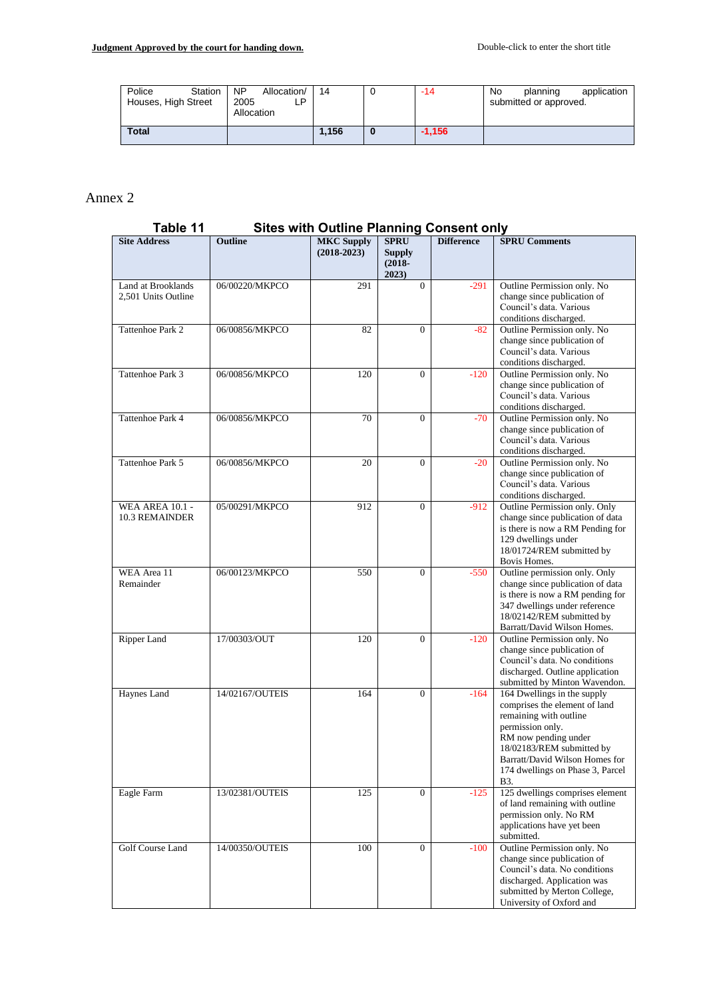| Station<br>Police<br>Houses, High Street | <b>NP</b><br>Allocation/<br>2005<br>∟P.<br>Allocation | 14    | $-14$    | No<br>application<br>planning<br>submitted or approved. |
|------------------------------------------|-------------------------------------------------------|-------|----------|---------------------------------------------------------|
| <b>Total</b>                             |                                                       | 1.156 | $-1.156$ |                                                         |

# Annex 2

# **Table 11 Sites with Outline Planning Consent only**

| <b>Site Address</b>                             | <b>Outline</b>  | <b>MKC Supply</b><br>$(2018-2023)$ | <b>SPRU</b><br>Supply<br>$(2018 -$<br>2023) | <b>Difference</b> | <b>SPRU Comments</b>                                                                                                                                                                                                                         |
|-------------------------------------------------|-----------------|------------------------------------|---------------------------------------------|-------------------|----------------------------------------------------------------------------------------------------------------------------------------------------------------------------------------------------------------------------------------------|
| Land at Brooklands<br>2,501 Units Outline       | 06/00220/MKPCO  | 291                                | $\Omega$                                    | $-291$            | Outline Permission only. No<br>change since publication of<br>Council's data. Various<br>conditions discharged.                                                                                                                              |
| Tattenhoe Park 2                                | 06/00856/MKPCO  | 82                                 | $\overline{0}$                              | $-82$             | Outline Permission only. No<br>change since publication of<br>Council's data. Various<br>conditions discharged.                                                                                                                              |
| Tattenhoe Park 3                                | 06/00856/MKPCO  | 120                                | $\overline{0}$                              | $-120$            | Outline Permission only. No<br>change since publication of<br>Council's data. Various<br>conditions discharged.                                                                                                                              |
| Tattenhoe Park 4                                | 06/00856/MKPCO  | 70                                 | $\mathbf{0}$                                | $-70$             | Outline Permission only. No<br>change since publication of<br>Council's data. Various<br>conditions discharged.                                                                                                                              |
| Tattenhoe Park 5                                | 06/00856/MKPCO  | 20                                 | $\boldsymbol{0}$                            | $-20$             | Outline Permission only. No<br>change since publication of<br>Council's data. Various<br>conditions discharged.                                                                                                                              |
| <b>WEA AREA 10.1 -</b><br><b>10.3 REMAINDER</b> | 05/00291/MKPCO  | 912                                | $\mathbf{0}$                                | $-912$            | Outline Permission only. Only<br>change since publication of data<br>is there is now a RM Pending for<br>129 dwellings under<br>18/01724/REM submitted by<br>Bovis Homes.                                                                    |
| WEA Area 11<br>Remainder                        | 06/00123/MKPCO  | 550                                | $\overline{0}$                              | $-550$            | Outline permission only. Only<br>change since publication of data<br>is there is now a RM pending for<br>347 dwellings under reference<br>18/02142/REM submitted by<br>Barratt/David Wilson Homes.                                           |
| Ripper Land                                     | 17/00303/OUT    | 120                                | $\overline{0}$                              | $-120$            | Outline Permission only. No<br>change since publication of<br>Council's data. No conditions<br>discharged. Outline application<br>submitted by Minton Wavendon.                                                                              |
| Haynes Land                                     | 14/02167/OUTEIS | 164                                | $\overline{0}$                              | $-164$            | 164 Dwellings in the supply<br>comprises the element of land<br>remaining with outline<br>permission only.<br>RM now pending under<br>18/02183/REM submitted by<br>Barratt/David Wilson Homes for<br>174 dwellings on Phase 3, Parcel<br>B3. |
| Eagle Farm                                      | 13/02381/OUTEIS | 125                                | $\mathbf{0}$                                | $-125$            | 125 dwellings comprises element<br>of land remaining with outline<br>permission only. No RM<br>applications have yet been<br>submitted.                                                                                                      |
| Golf Course Land                                | 14/00350/OUTEIS | 100                                | $\overline{0}$                              | $-100$            | Outline Permission only. No<br>change since publication of<br>Council's data. No conditions<br>discharged. Application was<br>submitted by Merton College,<br>University of Oxford and                                                       |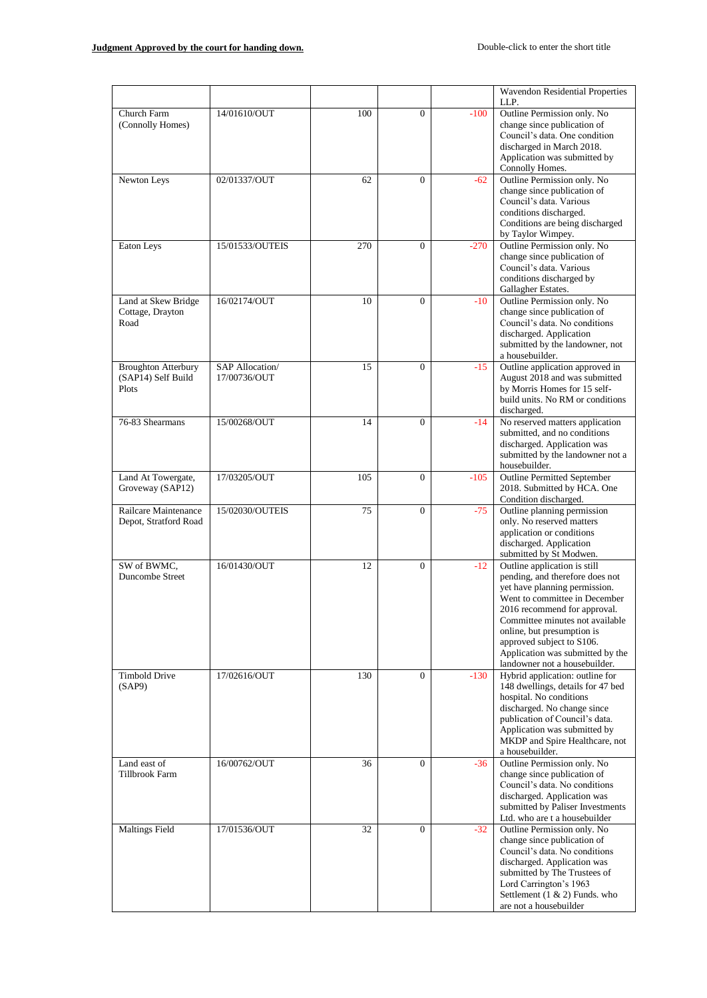|                                                           |                                         |     |                  |        | Wavendon Residential Properties<br>LLP.                                                                                                                                                                                                                                                                                              |
|-----------------------------------------------------------|-----------------------------------------|-----|------------------|--------|--------------------------------------------------------------------------------------------------------------------------------------------------------------------------------------------------------------------------------------------------------------------------------------------------------------------------------------|
| Church Farm<br>(Connolly Homes)                           | 14/01610/OUT                            | 100 | 0                | $-100$ | Outline Permission only. No<br>change since publication of<br>Council's data. One condition<br>discharged in March 2018.<br>Application was submitted by<br>Connolly Homes.                                                                                                                                                          |
| Newton Leys                                               | 02/01337/OUT                            | 62  | $\overline{0}$   | $-62$  | Outline Permission only. No<br>change since publication of<br>Council's data. Various<br>conditions discharged.<br>Conditions are being discharged<br>by Taylor Wimpey.                                                                                                                                                              |
| Eaton Leys                                                | 15/01533/OUTEIS                         | 270 | $\theta$         | $-270$ | Outline Permission only. No<br>change since publication of<br>Council's data. Various<br>conditions discharged by<br>Gallagher Estates.                                                                                                                                                                                              |
| Land at Skew Bridge<br>Cottage, Drayton<br>Road           | 16/02174/OUT                            | 10  | $\overline{0}$   | $-10$  | Outline Permission only. No<br>change since publication of<br>Council's data. No conditions<br>discharged. Application<br>submitted by the landowner, not<br>a housebuilder.                                                                                                                                                         |
| <b>Broughton Atterbury</b><br>(SAP14) Self Build<br>Plots | <b>SAP Allocation</b> /<br>17/00736/OUT | 15  | $\mathbf{0}$     | $-15$  | Outline application approved in<br>August 2018 and was submitted<br>by Morris Homes for 15 self-<br>build units. No RM or conditions<br>discharged.                                                                                                                                                                                  |
| 76-83 Shearmans                                           | 15/00268/OUT                            | 14  | $\mathbf{0}$     | $-14$  | No reserved matters application<br>submitted, and no conditions<br>discharged. Application was<br>submitted by the landowner not a<br>housebuilder.                                                                                                                                                                                  |
| Land At Towergate,<br>Groveway (SAP12)                    | 17/03205/OUT                            | 105 | $\boldsymbol{0}$ | $-105$ | <b>Outline Permitted September</b><br>2018. Submitted by HCA. One<br>Condition discharged.                                                                                                                                                                                                                                           |
| Railcare Maintenance<br>Depot, Stratford Road             | 15/02030/OUTEIS                         | 75  | $\mathbf{0}$     | $-75$  | Outline planning permission<br>only. No reserved matters<br>application or conditions<br>discharged. Application<br>submitted by St Modwen.                                                                                                                                                                                          |
| SW of BWMC,<br><b>Duncombe Street</b>                     | 16/01430/OUT                            | 12  | $\mathbf{0}$     | $-12$  | Outline application is still<br>pending, and therefore does not<br>yet have planning permission.<br>Went to committee in December<br>2016 recommend for approval.<br>Committee minutes not available<br>online, but presumption is<br>approved subject to S106.<br>Application was submitted by the<br>landowner not a housebuilder. |
| <b>Timbold Drive</b><br>(SAP9)                            | 17/02616/OUT                            | 130 | $\overline{0}$   | $-130$ | Hybrid application: outline for<br>148 dwellings, details for 47 bed<br>hospital. No conditions<br>discharged. No change since<br>publication of Council's data.<br>Application was submitted by<br>MKDP and Spire Healthcare, not<br>a housebuilder.                                                                                |
| Land east of<br>Tillbrook Farm                            | 16/00762/OUT                            | 36  | $\overline{0}$   | $-36$  | Outline Permission only. No<br>change since publication of<br>Council's data. No conditions<br>discharged. Application was<br>submitted by Paliser Investments<br>Ltd. who are t a housebuilder                                                                                                                                      |
| <b>Maltings Field</b>                                     | 17/01536/OUT                            | 32  | $\boldsymbol{0}$ | $-32$  | Outline Permission only. No<br>change since publication of<br>Council's data. No conditions<br>discharged. Application was<br>submitted by The Trustees of<br>Lord Carrington's 1963<br>Settlement $(1 \& 2)$ Funds. who<br>are not a housebuilder                                                                                   |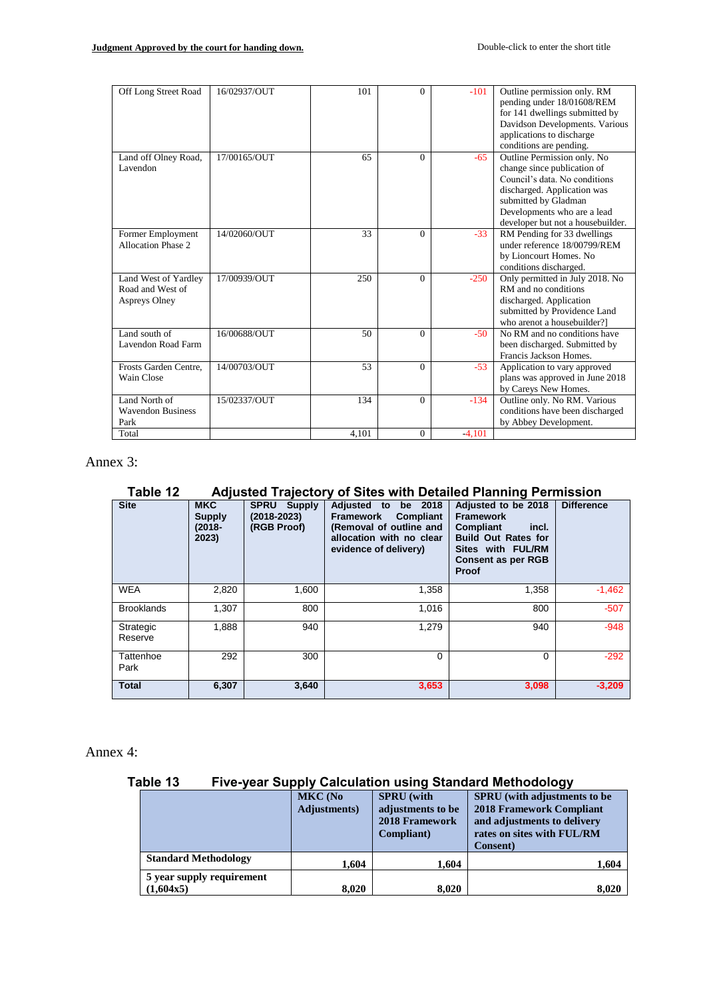| Off Long Street Road                                             | 16/02937/OUT | 101   | $\Omega$     | $-101$   | Outline permission only. RM<br>pending under 18/01608/REM<br>for 141 dwellings submitted by<br>Davidson Developments. Various<br>applications to discharge<br>conditions are pending.                                  |
|------------------------------------------------------------------|--------------|-------|--------------|----------|------------------------------------------------------------------------------------------------------------------------------------------------------------------------------------------------------------------------|
| Land off Olney Road,<br>Lavendon                                 | 17/00165/OUT | 65    | $\Omega$     | $-65$    | Outline Permission only. No<br>change since publication of<br>Council's data. No conditions<br>discharged. Application was<br>submitted by Gladman<br>Developments who are a lead<br>developer but not a housebuilder. |
| Former Employment<br>Allocation Phase 2                          | 14/02060/OUT | 33    | $\Omega$     | $-33$    | RM Pending for 33 dwellings<br>under reference 18/00799/REM<br>by Lioncourt Homes. No<br>conditions discharged.                                                                                                        |
| Land West of Yardley<br>Road and West of<br><b>Aspreys Olney</b> | 17/00939/OUT | 250   | $\theta$     | $-250$   | Only permitted in July 2018. No<br>RM and no conditions<br>discharged. Application<br>submitted by Providence Land<br>who arenot a housebuilder?                                                                       |
| Land south of<br>Lavendon Road Farm                              | 16/00688/OUT | 50    | $\Omega$     | $-50$    | No RM and no conditions have<br>been discharged. Submitted by<br>Francis Jackson Homes.                                                                                                                                |
| Frosts Garden Centre.<br>Wain Close                              | 14/00703/OUT | 53    | $\Omega$     | $-53$    | Application to vary approved<br>plans was approved in June 2018<br>by Careys New Homes.                                                                                                                                |
| Land North of<br><b>Wavendon Business</b><br>Park                | 15/02337/OUT | 134   | $\Omega$     | $-134$   | Outline only. No RM. Various<br>conditions have been discharged<br>by Abbey Development.                                                                                                                               |
| Total                                                            |              | 4.101 | $\mathbf{0}$ | $-4.101$ |                                                                                                                                                                                                                        |

Annex 3:

# **Table 12 Adjusted Trajectory of Sites with Detailed Planning Permission**

| <b>Site</b>          | <b>MKC</b><br>Supply<br>$(2018 -$<br>2023) | <b>SPRU</b><br><b>Supply</b><br>$(2018 - 2023)$<br>(RGB Proof) | Adjusted<br>2018<br>to<br>be<br><b>Framework</b><br><b>Compliant</b><br>(Removal of outline and<br>allocation with no clear<br>evidence of delivery) | Adjusted to be 2018<br><b>Framework</b><br><b>Compliant</b><br>incl.<br><b>Build Out Rates for</b><br>Sites with FUL/RM<br><b>Consent as per RGB</b><br>Proof | <b>Difference</b> |
|----------------------|--------------------------------------------|----------------------------------------------------------------|------------------------------------------------------------------------------------------------------------------------------------------------------|---------------------------------------------------------------------------------------------------------------------------------------------------------------|-------------------|
| <b>WEA</b>           | 2,820                                      | 1,600                                                          | 1,358                                                                                                                                                | 1,358                                                                                                                                                         | $-1,462$          |
| <b>Brooklands</b>    | 1,307                                      | 800                                                            | 1,016                                                                                                                                                | 800                                                                                                                                                           | $-507$            |
| Strategic<br>Reserve | 1,888                                      | 940                                                            | 1,279                                                                                                                                                | 940                                                                                                                                                           | $-948$            |
| Tattenhoe<br>Park    | 292                                        | 300                                                            | $\Omega$                                                                                                                                             | $\Omega$                                                                                                                                                      | $-292$            |
| <b>Total</b>         | 6,307                                      | 3,640                                                          | 3,653                                                                                                                                                | 3,098                                                                                                                                                         | $-3,209$          |

Annex 4:

# **Table 13 Five-year Supply Calculation using Standard Methodology**

|                                        | <b>MKC</b> (No<br>Adjustments) | <b>SPRU</b> (with<br>adjustments to be<br><b>2018 Framework</b><br>Compliant) | <b>SPRU</b> (with adjustments to be<br><b>2018 Framework Compliant</b><br>and adjustments to delivery<br>rates on sites with FUL/RM |
|----------------------------------------|--------------------------------|-------------------------------------------------------------------------------|-------------------------------------------------------------------------------------------------------------------------------------|
| <b>Standard Methodology</b>            | 1.604                          | 1.604                                                                         | <b>Consent</b> )<br>1,604                                                                                                           |
| 5 year supply requirement<br>(1,604x5) | 8.020                          | 8,020                                                                         | 8,020                                                                                                                               |